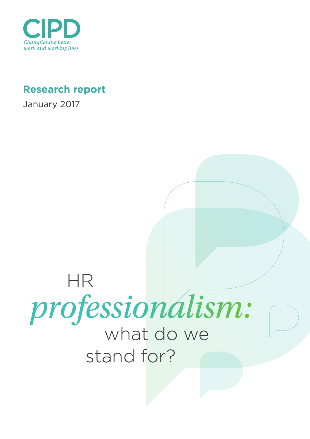

### **Research report**

January 2017

# HR *professionalism:* what do we stand for?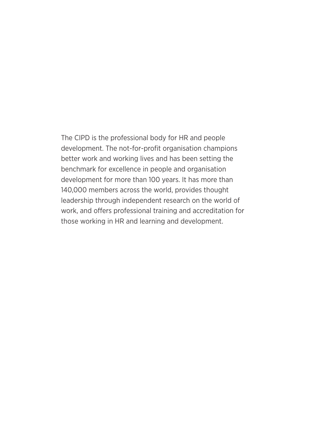The CIPD is the professional body for HR and people development. The not-for-profit organisation champions better work and working lives and has been setting the benchmark for excellence in people and organisation development for more than 100 years. It has more than 140,000 members across the world, provides thought leadership through independent research on the world of work, and offers professional training and accreditation for those working in HR and learning and development.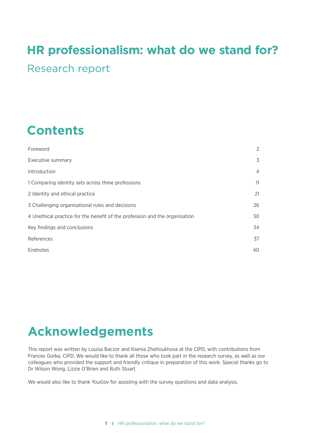# **HR professionalism: what do we stand for?**

Research report

# **Contents**

| Foreword                                                                    | 2              |
|-----------------------------------------------------------------------------|----------------|
| Executive summary                                                           | 3              |
| Introduction                                                                | $\overline{4}$ |
| 1 Comparing identity sets across three professions                          | 11             |
| 2 Identity and ethical practice                                             | 21             |
| 3 Challenging organisational rules and decisions                            | 26             |
| 4 Unethical practice for the benefit of the profession and the organisation | 30             |
| Key findings and conclusions                                                | 34             |
| References                                                                  | 37             |
| Endnotes                                                                    | 40             |

### **Acknowledgements**

This report was written by Louisa Baczor and Ksenia Zheltoukhova at the CIPD, with contributions from Frances Gorka, CIPD. We would like to thank all those who took part in the research survey, as well as our colleagues who provided the support and friendly critique in preparation of this work. Special thanks go to Dr Wilson Wong, Lizzie O'Brien and Ruth Stuart.

We would also like to thank YouGov for assisting with the survey questions and data analysis.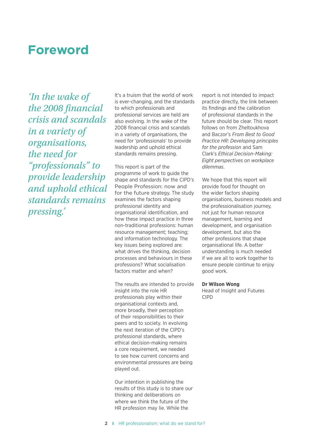### **Foreword**

*'In the wake of the 2008 financial crisis and scandals in a variety of organisations, the need for ''professionals'' to provide leadership and uphold ethical standards remains pressing.'* 

It's a truism that the world of work is ever-changing, and the standards to which professionals and professional services are held are also evolving. In the wake of the 2008 financial crisis and scandals in a variety of organisations, the need for 'professionals' to provide leadership and uphold ethical standards remains pressing.

This report is part of the programme of work to guide the shape and standards for the CIPD's People Profession: now and for the future strategy. The study examines the factors shaping professional identity and organisational identification, and how these impact practice in three non-traditional professions: human resource management; teaching; and information technology. The key issues being explored are: what drives the thinking, decision processes and behaviours in these professions? What socialisation factors matter and when?

The results are intended to provide insight into the role HR professionals play within their organisational contexts and, more broadly, their perception of their responsibilities to their peers and to society. In evolving the next iteration of the CIPD's professional standards, where ethical decision-making remains a core requirement, we needed to see how current concerns and environmental pressures are being played out.

Our intention in publishing the results of this study is to share our thinking and deliberations on where we think the future of the HR profession may lie. While the

report is not intended to impact practice directly, the link between its findings and the calibration of professional standards in the future should be clear. This report follows on from Zheltoukhova and Baczor's *From Best to Good Practice HR: Developing principles for the profession* and Sam Clark's *Ethical Decision-Making: Eight perspectives on workplace dilemmas*.

We hope that this report will provide food for thought on the wider factors shaping organisations, business models and the professionalisation journey, not just for human resource management, learning and development, and organisation development, but also the other professions that shape organisational life. A better understanding is much needed if we are all to work together to ensure people continue to enjoy good work.

#### **Dr Wilson Wong**

Head of Insight and Futures CIPD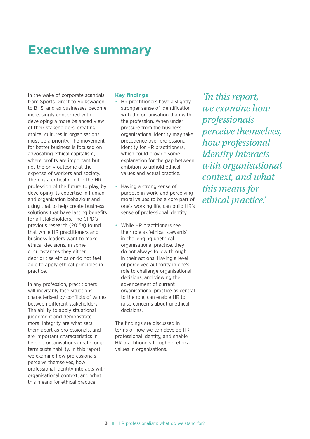### **Executive summary**

In the wake of corporate scandals, from Sports Direct to Volkswagen to BHS, and as businesses become increasingly concerned with developing a more balanced view of their stakeholders, creating ethical cultures in organisations must be a priority. The movement for better business is focused on advocating ethical capitalism, where profits are important but not the only outcome at the expense of workers and society. There is a critical role for the HR profession of the future to play, by developing its expertise in human and organisation behaviour and using that to help create business solutions that have lasting benefits for all stakeholders. The CIPD's previous research (2015a) found that while HR practitioners and business leaders want to make ethical decisions, in some circumstances they either deprioritise ethics or do not feel able to apply ethical principles in practice.

In any profession, practitioners will inevitably face situations characterised by conflicts of values between different stakeholders. The ability to apply situational judgement and demonstrate moral integrity are what sets them apart as professionals, and are important characteristics in helping organisations create longterm sustainability. In this report, we examine how professionals perceive themselves, how professional identity interacts with organisational context, and what this means for ethical practice.

#### **Key findings**

- HR practitioners have a slightly stronger sense of identification with the organisation than with the profession. When under pressure from the business, organisational identity may take precedence over professional identity for HR practitioners, which could provide some explanation for the gap between ambition to uphold ethical values and actual practice.
- Having a strong sense of purpose in work, and perceiving moral values to be a core part of one's working life, can build HR's sense of professional identity.
- While HR practitioners see their role as 'ethical stewards' in challenging unethical organisational practice, they do not always follow through in their actions. Having a level of perceived authority in one's role to challenge organisational decisions, and viewing the advancement of current organisational practice as central to the role, can enable HR to raise concerns about unethical decisions.

The findings are discussed in terms of how we can develop HR professional identity, and enable HR practitioners to uphold ethical values in organisations.

*'In this report, we examine how professionals perceive themselves, how professional identity interacts with organisational context, and what this means for ethical practice.'*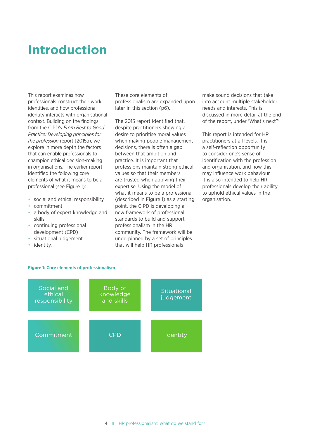### **Introduction**

This report examines how professionals construct their work identities, and how professional identity interacts with organisational context. Building on the findings from the CIPD's *From Best to Good Practice: Developing principles for the profession* report (2015a), we explore in more depth the factors that can enable professionals to champion ethical decision-making in organisations. The earlier report identified the following core elements of what it means to be a professional (see Figure 1):

- social and ethical responsibility
- commitment
- a body of expert knowledge and skills
- continuing professional development (CPD)
- situational judgement
- identity.

These core elements of professionalism are expanded upon later in this section (p6).

The 2015 report identified that, despite practitioners showing a desire to prioritise moral values when making people management decisions, there is often a gap between that ambition and practice. It is important that professions maintain strong ethical values so that their members are trusted when applying their expertise. Using the model of what it means to be a professional (described in Figure 1) as a starting point, the CIPD is developing a new framework of professional standards to build and support professionalism in the HR community. The framework will be underpinned by a set of principles that will help HR professionals

make sound decisions that take into account multiple stakeholder needs and interests. This is discussed in more detail at the end of the report, under 'What's next?'

This report is intended for HR practitioners at all levels. It is a self-reflection opportunity to consider one's sense of identification with the profession and organisation, and how this may influence work behaviour. It is also intended to help HR professionals develop their ability to uphold ethical values in the organisation.



#### **Figure 1: Core elements of professionalism**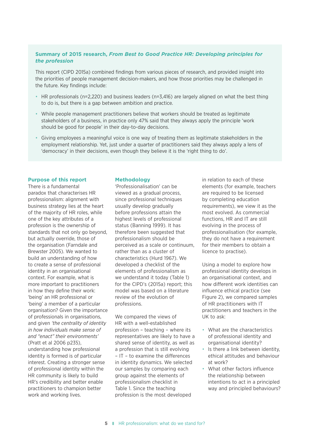#### **Summary of 2015 research,** *From Best to Good Practice HR: Developing principles for the profession*

This report (CIPD 2015a) combined findings from various pieces of research, and provided insight into the priorities of people management decision-makers, and how those priorities may be challenged in the future. Key findings include:

- HR professionals (n=2,220) and business leaders (n=3,416) are largely aligned on what the best thing to do is, but there is a gap between ambition and practice.
- While people management practitioners believe that workers should be treated as legitimate stakeholders of a business, in practice only 47% said that they always apply the principle 'work should be good for people' in their day-to-day decisions.
- Giving employees a meaningful voice is one way of treating them as legitimate stakeholders in the employment relationship. Yet, just under a quarter of practitioners said they always apply a lens of 'democracy' in their decisions, even though they believe it is the 'right thing to do'.

#### **Purpose of this report**

There is a fundamental paradox that characterises HR professionalism: alignment with business strategy lies at the heart of the majority of HR roles, while one of the key attributes of a profession is the ownership of standards that not only go beyond, but actually override, those of the organisation (Farndale and Brewster 2005). We wanted to build an understanding of how to create a sense of professional identity in an organisational context. For example, what is more important to practitioners in how they define their work: 'being' an HR professional or 'being' a member of a particular organisation? Given the importance of professionals in organisations, and given *'the centrality of identity in how individuals make sense of and "enact" their environments'*  (Pratt et al 2006 p235), understanding how professional identity is formed is of particular interest. Creating a stronger sense of professional identity within the HR community is likely to build HR's credibility and better enable practitioners to champion better work and working lives.

#### **Methodology**

'Professionalisation' can be viewed as a gradual process, since professional techniques usually develop gradually before professions attain the highest levels of professional status (Banning 1999). It has therefore been suggested that professionalism should be perceived as a scale or continuum, rather than as a cluster of characteristics (Hurd 1967). We developed a checklist of the elements of professionalism as we understand it today (Table 1) for the CIPD's (2015a) report; this model was based on a literature review of the evolution of professions.

We compared the views of HR with a well-established profession – teaching – where its representatives are likely to have a shared sense of identity, as well as a profession that is still evolving – IT – to examine the differences in identity dynamics. We selected our samples by comparing each group against the elements of professionalism checklist in Table 1. Since the teaching profession is the most developed

in relation to each of these elements (for example, teachers are required to be licensed by completing education requirements), we view it as the most evolved. As commercial functions, HR and IT are still evolving in the process of professionalisation (for example, they do not have a requirement for their members to obtain a licence to practise).

Using a model to explore how professional identity develops in an organisational context, and how different work identities can influence ethical practice (see Figure 2), we compared samples of HR practitioners with IT practitioners and teachers in the UK to ask:

- What are the characteristics of professional identity and organisational identity?
- Is there a link between identity. ethical attitudes and behaviour at work?
- What other factors influence the relationship between intentions to act in a principled way and principled behaviours?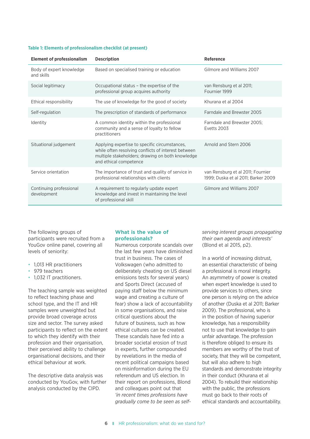#### **Table 1: Elements of professionalism checklist (at present)**

| <b>Element of professionalism</b>      | <b>Description</b>                                                                                                                                                                 | Reference                                                                |
|----------------------------------------|------------------------------------------------------------------------------------------------------------------------------------------------------------------------------------|--------------------------------------------------------------------------|
| Body of expert knowledge<br>and skills | Based on specialised training or education                                                                                                                                         | Gilmore and Williams 2007                                                |
| Social legitimacy                      | Occupational status - the expertise of the<br>professional group acquires authority                                                                                                | van Rensburg et al 2011;<br>Fournier 1999                                |
| Ethical responsibility                 | The use of knowledge for the good of society                                                                                                                                       | Khurana et al 2004                                                       |
| Self-regulation                        | The prescription of standards of performance                                                                                                                                       | Farndale and Brewster 2005                                               |
| Identity                               | A common identity within the professional<br>community and a sense of loyalty to fellow<br>practitioners                                                                           | Farndale and Brewster 2005;<br>Evetts 2003                               |
| Situational judgement                  | Applying expertise to specific circumstances,<br>while often resolving conflicts of interest between<br>multiple stakeholders; drawing on both knowledge<br>and ethical competence | Arnold and Stern 2006                                                    |
| Service orientation                    | The importance of trust and quality of service in<br>professional relationships with clients                                                                                       | van Rensburg et al 2011; Fournier<br>1999; Duska et al 2011; Barker 2009 |
| Continuing professional<br>development | A requirement to regularly update expert<br>knowledge and invest in maintaining the level<br>of professional skill                                                                 | Gilmore and Williams 2007                                                |

The following groups of participants were recruited from a YouGov online panel, covering all levels of seniority:

- 1,013 HR practitioners
- 979 teachers
- 1,032 IT practitioners.

The teaching sample was weighted to reflect teaching phase and school type, and the IT and HR samples were unweighted but provide broad coverage across size and sector. The survey asked participants to reflect on the extent to which they identify with their profession and their organisation, their perceived ability to challenge organisational decisions, and their ethical behaviour at work.

The descriptive data analysis was conducted by YouGov, with further analysis conducted by the CIPD.

#### **What is the value of professionals?**

Numerous corporate scandals over the last few years have diminished trust in business. The cases of Volkswagen (who admitted to deliberately cheating on US diesel emissions tests for several years) and Sports Direct (accused of paying staff below the minimum wage and creating a culture of fear) show a lack of accountability in some organisations, and raise critical questions about the future of business, such as how ethical cultures can be created. These scandals have fed into a broader societal erosion of trust in experts, further compounded by revelations in the media of recent political campaigns based on misinformation during the EU referendum and US election. In their report on professions, Blond and colleagues point out that *'in recent times professions have gradually come to be seen as self-* *serving interest groups propagating their own agenda and interests'*  (Blond et al 2015, p2).

In a world of increasing distrust, an essential characteristic of being a professional is moral integrity. An asymmetry of power is created when expert knowledge is used to provide services to others, since one person is relying on the advice of another (Duska et al 2011; Barker 2009). The professional, who is in the position of having superior knowledge, has a responsibility not to use that knowledge to gain unfair advantage. The profession is therefore obliged to ensure its members are worthy of the trust of society, that they will be competent, but will also adhere to high standards and demonstrate integrity in their conduct (Khurana et al 2004). To rebuild their relationship with the public, the professions must go back to their roots of ethical standards and accountability.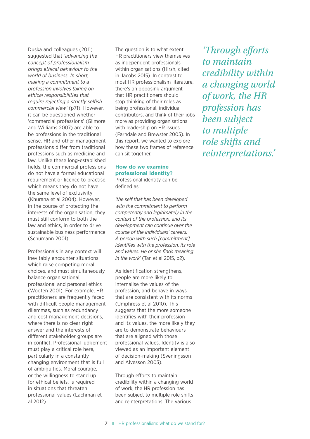Duska and colleagues (2011) suggested that *'advancing the concept of professionalism brings ethical behaviour to the world of business. In short, making a commitment to a profession involves taking on ethical responsibilities that require rejecting a strictly selfish commercial view'* (p71). However, it can be questioned whether 'commercial professions' (Gilmore and Williams 2007) are able to be professions in the traditional sense. HR and other management professions differ from traditional professions such as medicine and law. Unlike these long-established fields, the commercial professions do not have a formal educational requirement or licence to practise, which means they do not have the same level of exclusivity (Khurana et al 2004). However, in the course of protecting the interests of the organisation, they must still conform to both the law and ethics, in order to drive sustainable business performance (Schumann 2001).

Professionals in any context will inevitably encounter situations which raise competing moral choices, and must simultaneously balance organisational, professional and personal ethics (Wooten 2001). For example, HR practitioners are frequently faced with difficult people management dilemmas, such as redundancy and cost management decisions, where there is no clear right answer and the interests of different stakeholder groups are in conflict. Professional judgement must play a critical role here, particularly in a constantly changing environment that is full of ambiguities. Moral courage, or the willingness to stand up for ethical beliefs, is required in situations that threaten professional values (Lachman et al 2012).

The question is to what extent HR practitioners view themselves as independent professionals within organisations (Hirsh, cited in Jacobs 2015). In contrast to most HR professionalism literature, there's an opposing argument that HR practitioners should stop thinking of their roles as being professional, individual contributors, and think of their jobs more as providing organisations with leadership on HR issues (Farndale and Brewster 2005). In this report, we wanted to explore how these two frames of reference can sit together.

#### **How do we examine professional identity?**

Professional identity can be defined as:

*'the self that has been developed with the commitment to perform competently and legitimately in the context of the profession, and its development can continue over the course of the individuals' careers. A person with such [commitment] identifies with the profession, its role and values. He or she finds meaning in the work'* (Tan et al 2015, p2).

As identification strengthens, people are more likely to internalise the values of the profession, and behave in ways that are consistent with its norms (Umphress et al 2010). This suggests that the more someone identifies with their profession and its values, the more likely they are to demonstrate behaviours that are aligned with those professional values. Identity is also viewed as an important element of decision-making (Sveningsson and Alvesson 2003).

Through efforts to maintain credibility within a changing world of work, the HR profession has been subject to multiple role shifts and reinterpretations. The various

*'Through efforts to maintain credibility within a changing world of work, the HR profession has been subject to multiple role shifts and reinterpretations.'*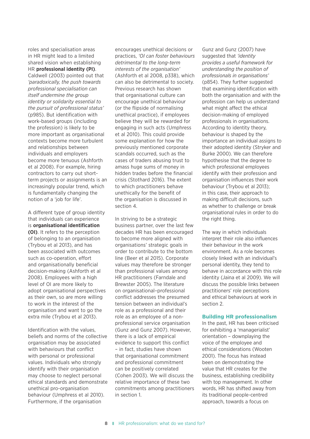roles and specialisation areas in HR might lead to a limited shared vision when establishing HR **professional identity (PI)**. Caldwell (2003) pointed out that *'paradoxically, the push towards professional specialisation can itself undermine the group identity or solidarity essential to the pursuit of professional status'* (p985). But identification with work-based groups (including the profession) is likely to be more important as organisational contexts become more turbulent and relationships between individuals and employers become more tenuous (Ashforth et al 2008). For example, hiring contractors to carry out shortterm projects or assignments is an increasingly popular trend, which is fundamentally changing the notion of a 'job for life'.

A different type of group identity that individuals can experience is **organisational identification (OI)**. It refers to the perception of belonging to an organisation (Trybou et al 2013), and has been associated with outcomes such as co-operation, effort and organisationally beneficial decision-making (Ashforth et al 2008). Employees with a high level of OI are more likely to adopt organisational perspectives as their own, so are more willing to work in the interest of the organisation and want to go the extra mile (Trybou et al 2013).

Identification with the values, beliefs and norms of the collective organisation may be associated with behaviours that conflict with personal or professional values. Individuals who strongly identify with their organisation may choose to neglect personal ethical standards and demonstrate unethical pro-organisation behaviour (Umphress et al 2010). Furthermore, if the organisation

encourages unethical decisions or practices, *'OI can foster behaviours detrimental to the long-term interests of the organisation'* (Ashforth et al 2008, p338), which can also be detrimental to society. Previous research has shown that organisational culture can encourage unethical behaviour (or the flipside of normalising unethical practice), if employees believe they will be rewarded for engaging in such acts (Umphress et al 2010). This could provide some explanation for how the previously mentioned corporate scandals occurred, such as the cases of traders abusing trust to amass huge sums of money in hidden trades before the financial crisis (Stothard 2016). The extent to which practitioners behave unethically for the benefit of the organisation is discussed in section 4.

In striving to be a strategic business partner, over the last few decades HR has been encouraged to become more aligned with organisations' strategic goals in order to contribute to the bottom line (Beer et al 2015). Corporate values may therefore be stronger than professional values among HR practitioners (Farndale and Brewster 2005). The literature on organisational–professional conflict addresses the presumed tension between an individual's role as a professional and their role as an employee of a nonprofessional service organisation (Gunz and Gunz 2007). However, there is a lack of empirical evidence to support this conflict – in fact, studies have shown that organisational commitment and professional commitment can be positively correlated (Cohen 2003). We will discuss the relative importance of these two commitments among practitioners in section 1.

Gunz and Gunz (2007) have suggested that *'identity provides a useful framework for understanding the position of professionals in organisations'* (p854). They further suggested that examining identification with both the organisation and with the profession can help us understand what might affect the ethical decision-making of employed professionals in organisations. According to identity theory, behaviour is shaped by the importance an individual assigns to their adopted identity (Stryker and Burke 2000). We can therefore hypothesise that the degree to which professional employees identify with their profession and organisation influences their work behaviour (Trybou et al 2013); in this case, their approach to making difficult decisions, such as whether to challenge or break organisational rules in order to do the right thing.

The way in which individuals interpret their role also influences their behaviour in the work environment. As a role becomes closely linked with an individual's personal identity, they tend to behave in accordance with this role identity (Jaina et al 2009). We will discuss the possible links between practitioners' role perceptions and ethical behaviours at work in section 2.

#### **Building HR professionalism**

In the past, HR has been criticised for exhibiting a 'managerialist' orientation – downplaying the voice of the employee and ethical considerations (Wooten 2001). The focus has instead been on demonstrating the value that HR creates for the business, establishing credibility with top management. In other words, HR has shifted away from its traditional people-centred approach, towards a focus on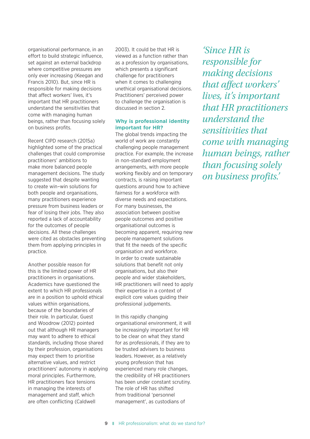organisational performance, in an effort to build strategic influence, set against an external backdrop where competitive pressures are only ever increasing (Keegan and Francis 2010). But, since HR is responsible for making decisions that affect workers' lives, it's important that HR practitioners understand the sensitivities that come with managing human beings, rather than focusing solely on business profits.

Recent CIPD research (2015a) highlighted some of the practical challenges that could compromise practitioners' ambitions to make more balanced people management decisions. The study suggested that despite wanting to create win–win solutions for both people and organisations, many practitioners experience pressure from business leaders or fear of losing their jobs. They also reported a lack of accountability for the outcomes of people decisions. All these challenges were cited as obstacles preventing them from applying principles in practice.

Another possible reason for this is the limited power of HR practitioners in organisations. Academics have questioned the extent to which HR professionals are in a position to uphold ethical values within organisations, because of the boundaries of their role. In particular, Guest and Woodrow (2012) pointed out that although HR managers may want to adhere to ethical standards, including those shared by their profession, organisations may expect them to prioritise alternative values, and restrict practitioners' autonomy in applying moral principles. Furthermore, HR practitioners face tensions in managing the interests of management and staff, which are often conflicting (Caldwell

2003). It could be that HR is viewed as a function rather than as a profession by organisations, which presents a significant challenge for practitioners when it comes to challenging unethical organisational decisions. Practitioners' perceived power to challenge the organisation is discussed in section 2.

#### **Why is professional identity important for HR?**

The global trends impacting the world of work are constantly challenging people management practice. For example, the increase in non-standard employment arrangements, with more people working flexibly and on temporary contracts, is raising important questions around how to achieve fairness for a workforce with diverse needs and expectations. For many businesses, the association between positive people outcomes and positive organisational outcomes is becoming apparent, requiring new people management solutions that fit the needs of the specific organisation and workforce. In order to create sustainable solutions that benefit not only organisations, but also their people and wider stakeholders, HR practitioners will need to apply their expertise in a context of explicit core values guiding their professional judgements.

In this rapidly changing organisational environment, it will be increasingly important for HR to be clear on what they stand for as professionals, if they are to be trusted advisers to business leaders. However, as a relatively young profession that has experienced many role changes, the credibility of HR practitioners has been under constant scrutiny. The role of HR has shifted from traditional 'personnel management', as custodians of

*'Since HR is responsible for making decisions that affect workers' lives, it's important that HR practitioners understand the sensitivities that come with managing human beings, rather than focusing solely on business profits.'*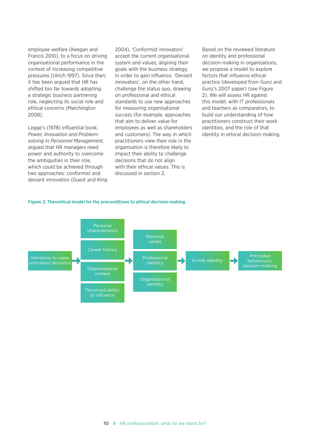employee welfare (Keegan and Francis 2010), to a focus on driving organisational performance in the context of increasing competitive pressures (Ulrich 1997). Since then, it has been argued that HR has shifted too far towards adopting a strategic business partnering role, neglecting its social role and ethical concerns (Marchington 2008).

Legge's (1978) influential book, *Power, Innovation and Problemsolving in Personnel Management*, argued that HR managers need power and authority to overcome the ambiguities in their role, which could be achieved through two approaches: conformist and deviant innovation (Guest and King 2004). 'Conformist innovators' accept the current organisational system and values, aligning their goals with the business strategy, in order to gain influence. 'Deviant innovators', on the other hand, challenge the status quo, drawing on professional and ethical standards to use new approaches for measuring organisational success (for example, approaches that aim to deliver value for employees as well as shareholders and customers). The way in which practitioners view their role in the organisation is therefore likely to impact their ability to challenge decisions that do not align with their ethical values. This is discussed in section 2.

Based on the reviewed literature on identity and professional decision-making in organisations, we propose a model to explore factors that influence ethical practice (developed from Gunz and Gunz's 2007 paper) (see Figure 2). We will assess HR against this model, with IT professionals and teachers as comparators, to build our understanding of how practitioners construct their work identities, and the role of that identity in ethical decision-making.



#### **Figure 2: Theoretical model for the preconditions to ethical decision-making**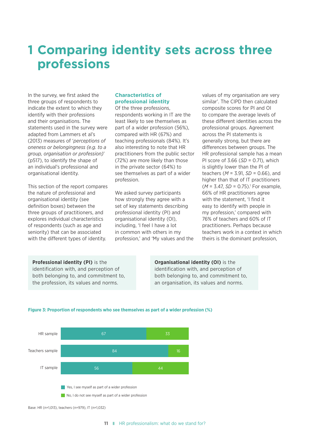### **1 Comparing identity sets across three professions**

In the survey, we first asked the three groups of respondents to indicate the extent to which they identify with their professions and their organisations. The statements used in the survey were adapted from Lammers et al's (2013) measures of '*perceptions of oneness or belongingness (e.g. to a group, organisation or profession)*' (p517), to identify the shape of an individual's professional and organisational identity.

This section of the report compares the nature of professional and organisational identity (see definition boxes) between the three groups of practitioners, and explores individual characteristics of respondents (such as age and seniority) that can be associated with the different types of identity.

#### **Characteristics of professional identity**

Of the three professions, respondents working in IT are the least likely to see themselves as part of a wider profession (56%), compared with HR (67%) and teaching professionals (84%). It's also interesting to note that HR practitioners from the public sector (72%) are more likely than those in the private sector (64%) to see themselves as part of a wider profession.

We asked survey participants how strongly they agree with a set of key statements describing professional identity (PI) and organisational identity (OI), including, 'I feel I have a lot in common with others in my profession,' and 'My values and the

values of my organisation are very similar'. The CIPD then calculated composite scores for PI and OI to compare the average levels of these different identities across the professional groups. Agreement across the PI statements is generally strong, but there are differences between groups. The HR professional sample has a mean PI score of 3.66 (*SD* = 0.71), which is slightly lower than the PI of teachers (*M* = 3.91, *SD* = 0.66), and higher than that of IT practitioners (*M* = 3.47, *SD* = 0.75).<sup>1</sup> For example, 66% of HR practitioners agree with the statement, 'I find it easy to identify with people in my profession,' compared with 76% of teachers and 60% of IT practitioners. Perhaps because teachers work in a context in which theirs is the dominant profession,

**Professional identity (PI)** is the identification with, and perception of both belonging to, and commitment to, the profession, its values and norms.

**Organisational identity (OI)** is the identification with, and perception of both belonging to, and commitment to, an organisation, its values and norms.



#### **Figure 3: Proportion of respondents who see themselves as part of a wider profession (%)**

Base: HR (n=1,013), teachers (n=979), IT (n=1,032)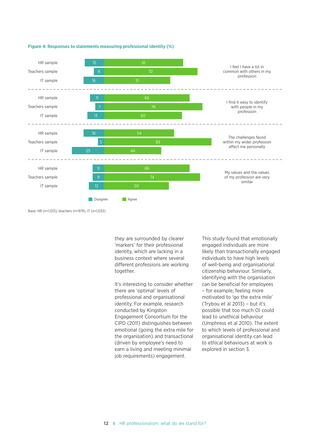

#### **Figure 4: Responses to statements measuring professional identity (%)**

Base: HR (n=1,013), teachers (n=979), IT (n=1,032)

they are surrounded by clearer 'markers' for their professional identity, which are lacking in a business context where several different professions are working together.

It's interesting to consider whether there are 'optimal' levels of professional and organisational identity. For example, research conducted by Kingston Engagement Consortium for the CIPD (2011) distinguishes between emotional (going the extra mile for the organisation) and transactional (driven by employee's need to earn a living and meeting minimal job requirements) engagement.

This study found that emotionally engaged individuals are more likely than transactionally engaged individuals to have high levels of well-being and organisational citizenship behaviour. Similarly, identifying with the organisation can be beneficial for employees – for example, feeling more motivated to 'go the extra mile' (Trybou et al 2013) – but it's possible that too much OI could lead to unethical behaviour (Umphress et al 2010). The extent to which levels of professional and organisational identity can lead to ethical behaviours at work is explored in section 3.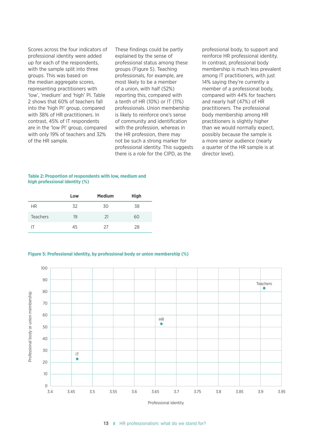Scores across the four indicators of professional identity were added up for each of the respondents, with the sample split into three groups. This was based on the median aggregate scores, representing practitioners with 'low', 'medium' and 'high' PI. Table 2 shows that 60% of teachers fall into the 'high PI' group, compared with 38% of HR practitioners. In contrast, 45% of IT respondents are in the 'low PI' group, compared with only 19% of teachers and 32% of the HR sample.

These findings could be partly explained by the sense of professional status among these groups (Figure 5). Teaching professionals, for example, are most likely to be a member of a union, with half (52%) reporting this, compared with a tenth of HR (10%) or IT (11%) professionals. Union membership is likely to reinforce one's sense of community and identification with the profession, whereas in the HR profession, there may not be such a strong marker for professional identity. This suggests there is a role for the CIPD, as the

professional body, to support and reinforce HR professional identity. In contrast, professional body membership is much less prevalent among IT practitioners, with just 14% saying they're currently a member of a professional body, compared with 44% for teachers and nearly half (47%) of HR practitioners. The professional body membership among HR practitioners is slightly higher than we would normally expect, possibly because the sample is a more senior audience (nearly a quarter of the HR sample is at director level).

#### **Table 2: Proportion of respondents with low, medium and high professional identity (%)**

|          | Low | <b>Medium</b> | <b>High</b> |
|----------|-----|---------------|-------------|
| HR.      | 32  | 30            | 38          |
| Teachers | 19  | 21            | 60          |
| IΤ       | 45  | 27            | 28          |

#### **Figure 5: Professional identity, by professional body or union membership (%)**



Professional identity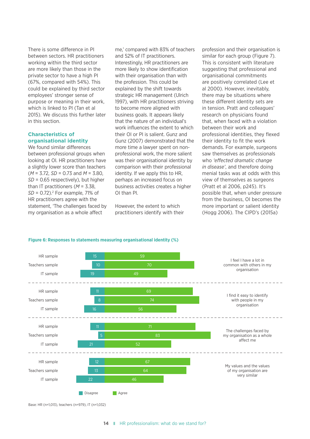There is some difference in PI between sectors. HR practitioners working within the third sector are more likely than those in the private sector to have a high PI (67%, compared with 54%). This could be explained by third sector employees' stronger sense of purpose or meaning in their work, which is linked to PI (Tan et al 2015). We discuss this further later in this section.

#### **Characteristics of organisational identity**

We found similar differences between professional groups when looking at OI. HR practitioners have a slightly lower score than teachers (*M* = 3.72, *SD* = 0.73 and *M* = 3.80, *SD* = 0.65 respectively), but higher than IT practitioners (*M* = 3.38, *SD* = 0.72).<sup>2</sup> For example, 71% of HR practitioners agree with the statement, 'The challenges faced by my organisation as a whole affect

me,' compared with 83% of teachers and 52% of IT practitioners. Interestingly, HR practitioners are more likely to show identification with their organisation than with the profession. This could be explained by the shift towards strategic HR management (Ulrich 1997), with HR practitioners striving to become more aligned with business goals. It appears likely that the nature of an individual's work influences the extent to which their OI or PI is salient. Gunz and Gunz (2007) demonstrated that the more time a lawyer spent on nonprofessional work, the more salient was their organisational identity by comparison with their professional identity. If we apply this to HR, perhaps an increased focus on business activities creates a higher OI than PI.

However, the extent to which practitioners identify with their

profession and their organisation is similar for each group (Figure 7). This is consistent with literature suggesting that professional and organisational commitments are positively correlated (Lee et al 2000). However, inevitably, there may be situations where these different identity sets are in tension. Pratt and colleagues' research on physicians found that, when faced with a violation between their work and professional identities, they flexed their identity to fit the work demands. For example, surgeons saw themselves as professionals who *'effected dramatic change in disease'*, and therefore doing menial tasks was at odds with this view of themselves as surgeons (Pratt et al 2006, p245). It's possible that, when under pressure from the business, OI becomes the more important or salient identity (Hogg 2006). The CIPD's (2015a)

#### **Figure 6: Responses to statements measuring organisational identity (%)**



Base: HR (n=1,013), teachers (n=979), IT (n=1,032)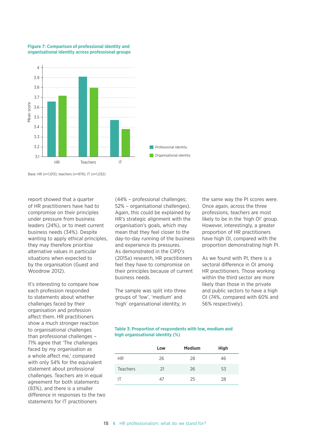

#### **Figure 7: Comparison of professional identity and organisational identity across professional groups**

Base: HR (n=1,013), teachers (n=979), IT (n=1,032)

report showed that a quarter of HR practitioners have had to compromise on their principles under pressure from business leaders (24%), or to meet current business needs (34%). Despite wanting to apply ethical principles, they may therefore prioritise alternative values in particular situations when expected to by the organisation (Guest and Woodrow 2012).

It's interesting to compare how each profession responded to statements about whether challenges faced by their organisation and profession affect them. HR practitioners show a much stronger reaction to organisational challenges than professional challenges – 71% agree that 'The challenges faced by my organisation as a whole affect me,' compared with only 54% for the equivalent statement about professional challenges. Teachers are in equal agreement for both statements (83%), and there is a smaller difference in responses to the two statements for IT practitioners

(44% – professional challenges; 52% – organisational challenges). Again, this could be explained by HR's strategic alignment with the organisation's goals, which may mean that they feel closer to the day-to-day running of the business and experience its pressures. As demonstrated in the CIPD's (2015a) research, HR practitioners feel they have to compromise on their principles because of current business needs.

The sample was split into three groups of 'low', 'medium' and 'high' organisational identity, in the same way the PI scores were. Once again, across the three professions, teachers are most likely to be in the 'high OI' group. However, interestingly, a greater proportion of HR practitioners have high OI, compared with the proportion demonstrating high PI.

As we found with PI, there is a sectoral difference in OI among HR practitioners. Those working within the third sector are more likely than those in the private and public sectors to have a high OI (74%, compared with 60% and 56% respectively).

**Table 3: Proportion of respondents with low, medium and high organisational identity (%)**

|                 | Low | <b>Medium</b> | <b>High</b> |
|-----------------|-----|---------------|-------------|
| <b>HR</b>       | 26  | 28            | 46          |
| <b>Teachers</b> | 21  | 26            | 53          |
| IΤ              | 47  | 25            | 28          |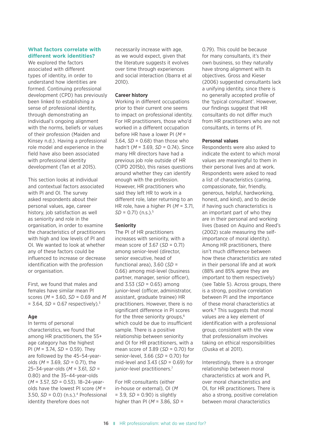#### **What factors correlate with different work identities?**

We explored the factors associated with different types of identity, in order to understand how identities are formed. Continuing professional development (CPD) has previously been linked to establishing a sense of professional identity, through demonstrating an individual's ongoing alignment with the norms, beliefs or values of their profession (Maiden and Kinsey n.d.). Having a professional role model and experience in the field have also been associated with professional identity development (Tan et al 2015).

This section looks at individual and contextual factors associated with PI and OI. The survey asked respondents about their personal values, age, career history, job satisfaction as well as seniority and role in the organisation, in order to examine the characteristics of practitioners with high and low levels of PI and OI. We wanted to look at whether any of these factors could be influenced to increase or decrease identification with the profession or organisation.

First, we found that males and females have similar mean PI scores (*M* = 3.60, *SD* = 0.69 and *M* = 3.64, *SD* = 0.67 respectively).3

#### **Age**

In terms of personal characteristics, we found that among HR practitioners, the 55+ age category has the highest PI (*M* = 3.74, *SD* = 0.59). They are followed by the 45–54-yearolds (*M* = 3.69, *SD* = 0.71), the 25–34-year-olds (*M* = 3.61, *SD* = 0.80) and the 35–44-year-olds (*M* = 3.57, *SD* = 0.53). 18–24-yearolds have the lowest PI score (*M* = 3.50, *SD* = 0.0) (n.s.).4 Professional identity therefore does not

necessarily increase with age, as we would expect, given that the literature suggests it evolves over time through experiences and social interaction (Ibarra et al 2010).

#### **Career history**

Working in different occupations prior to their current one seems to impact on professional identity. For HR practitioners, those who'd worked in a different occupation before HR have a lower PI (*M* =  $3.64$ ,  $SD = 0.68$ ) than those who hadn't (*M* = 3.69, *SD* = 0.74). Since many HR directors have had a previous job role outside of HR (CIPD 2015b), this raises questions around whether they can identify enough with the profession. However, HR practitioners who said they left HR to work in a different role, later returning to an HR role, have a higher PI (*M* = 3.71, *SD* = 0.71) (n.s.).5

#### **Seniority**

The PI of HR practitioners increases with seniority, with a mean score of 3.67 (*SD* = 0.71) among senior-level (director, senior executive, head of functional area), 3.60 (*SD* = 0.66) among mid-level (business partner, manager, senior officer), and 3.53 (*SD* = 0.65) among junior-level (officer, administrator, assistant, graduate trainee) HR practitioners. However, there is no significant difference in PI scores for the three seniority groups,<sup>6</sup> which could be due to insufficient sample. There is a positive relationship between seniority and OI for HR practitioners, with a mean score of 3.89 (*SD* = 0.70) for senior-level, 3.66 (*SD* = 0.70) for mid-level and 3.43 (*SD* = 0.69) for junior-level practitioners.7

For HR consultants (either in-house or external), OI (*M* = 3.9, *SD* = 0.90) is slightly higher than PI (*M* = 3.86, *SD* =

0.79). This could be because for many consultants, it's their own business, so they naturally have strong alignment with its objectives. Gross and Kieser (2006) suggested consultants lack a unifying identity, since there is no generally accepted profile of the 'typical consultant'. However, our findings suggest that HR consultants do not differ much from HR practitioners who are not consultants, in terms of PI.

#### **Personal values**

Respondents were also asked to indicate the extent to which moral values are meaningful to them in their personal lives and at work. Respondents were asked to read a list of characteristics (caring, compassionate, fair, friendly, generous, helpful, hardworking, honest, and kind), and to decide if having such characteristics is an important part of who they are in their personal and working lives (based on Aquino and Reed's (2002) scale measuring the selfimportance of moral identity). Among HR practitioners, there isn't much difference between how these characteristics are rated in their personal life and at work (88% and 85% agree they are important to them respectively) (see Table 5). Across groups, there is a strong, positive correlation between PI and the importance of these moral characteristics at work.8 This suggests that moral values are a key element of identification with a professional group, consistent with the view that professionalism involves taking on ethical responsibilities (Duska et al 2011).

Interestingly, there is a stronger relationship between moral characteristics at work and PI, over moral characteristics and OI, for HR practitioners. There is also a strong, positive correlation between moral characteristics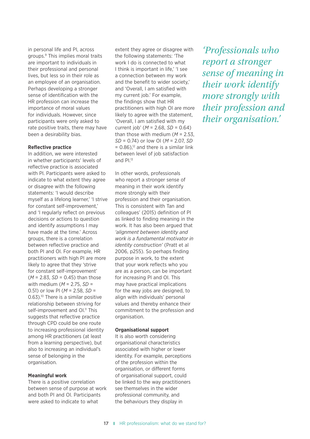in personal life and PI, across groups.9 This implies moral traits are important to individuals in their professional and personal lives, but less so in their role as an employee of an organisation. Perhaps developing a stronger sense of identification with the HR profession can increase the importance of moral values for individuals. However, since participants were only asked to rate positive traits, there may have been a desirability bias.

#### **Reflective practice**

In addition, we were interested in whether participants' levels of reflective practice is associated with PI. Participants were asked to indicate to what extent they agree or disagree with the following statements: 'I would describe myself as a lifelong learner,' 'I strive for constant self-improvement,' and 'I regularly reflect on previous decisions or actions to question and identify assumptions I may have made at the time.' Across groups, there is a correlation between reflective practice and both PI and OI. For example, HR practitioners with high PI are more likely to agree that they 'strive for constant self-improvement'  $(M = 2.83, SD = 0.45)$  than those with medium (*M* = 2.75, *SD* = 0.51) or low PI (*M* = 2.58, *SD* = 0.63).<sup>10</sup> There is a similar positive relationship between striving for self-improvement and OI.<sup>11</sup> This suggests that reflective practice through CPD could be one route to increasing professional identity among HR practitioners (at least from a learning perspective), but also to increasing an individual's sense of belonging in the organisation.

#### **Meaningful work**

There is a positive correlation between sense of purpose at work and both PI and OI. Participants were asked to indicate to what

extent they agree or disagree with the following statements: 'The work I do is connected to what I think is important in life,' 'I see a connection between my work and the benefit to wider society,' and 'Overall, I am satisfied with my current job.' For example, the findings show that HR practitioners with high OI are more likely to agree with the statement, 'Overall, I am satisfied with my current job' (*M* = 2.68, *SD* = 0.64) than those with medium (*M* = 2.53, *SD* = 0.74) or low OI (*M* = 2.07, *SD*  $= 0.86$ ),<sup>12</sup> and there is a similar link between level of job satisfaction and  $PI<sup>13</sup>$ 

In other words, professionals who report a stronger sense of meaning in their work identify more strongly with their profession and their organisation. This is consistent with Tan and colleagues' (2015) definition of PI as linked to finding meaning in the work. It has also been argued that *'alignment between identity and work is a fundamental motivator in identity construction'* (Pratt et al 2006, p255). So perhaps finding purpose in work, to the extent that your work reflects who you are as a person, can be important for increasing PI and OI. This may have practical implications for the way jobs are designed, to align with individuals' personal values and thereby enhance their commitment to the profession and organisation.

#### **Organisational support**

It is also worth considering organisational characteristics associated with higher or lower identity. For example, perceptions of the profession within the organisation, or different forms of organisational support, could be linked to the way practitioners see themselves in the wider professional community, and the behaviours they display in

*'Professionals who report a stronger sense of meaning in their work identify more strongly with their profession and their organisation.'*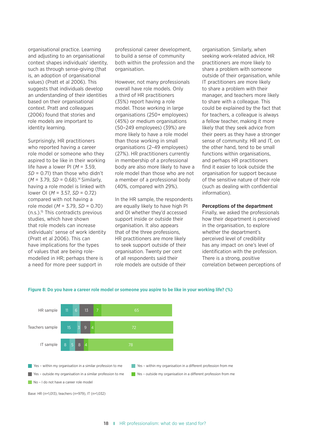organisational practice. Learning and adjusting to an organisational context shapes individuals' identity, such as through sense-giving (that is, an adoption of organisational values) (Pratt et al 2006). This suggests that individuals develop an understanding of their identities based on their organisational context. Pratt and colleagues (2006) found that stories and role models are important to identity learning.

Surprisingly, HR practitioners who reported having a career role model or someone who they aspired to be like in their working life have a lower PI (*M* = 3.59, *SD* = 0.71) than those who didn't (*M* = 3.79, *SD* = 0.68).14 Similarly, having a role model is linked with lower OI (*M* = 3.57, *SD* = 0.72) compared with not having a role model (*M* = 3.79, *SD* = 0.70) (n.s.).15 This contradicts previous studies, which have shown that role models can increase individuals' sense of work identity (Pratt et al 2006). This can have implications for the types of values that are being rolemodelled in HR; perhaps there is a need for more peer support in

professional career development, to build a sense of community both within the profession and the organisation.

However, not many professionals overall have role models. Only a third of HR practitioners (35%) report having a role model. Those working in large organisations (250+ employees) (45%) or medium organisations (50–249 employees) (39%) are more likely to have a role model than those working in small organisations (2–49 employees) (27%). HR practitioners currently in membership of a professional body are also more likely to have a role model than those who are not a member of a professional body (40%, compared with 29%).

In the HR sample, the respondents are equally likely to have high PI and OI whether they'd accessed support inside or outside their organisation. It also appears that of the three professions, HR practitioners are more likely to seek support outside of their organisation. Twenty per cent of all respondents said their role models are outside of their

organisation. Similarly, when seeking work-related advice, HR practitioners are more likely to share a problem with someone outside of their organisation, while IT practitioners are more likely to share a problem with their manager, and teachers more likely to share with a colleague. This could be explained by the fact that for teachers, a colleague is always a fellow teacher, making it more likely that they seek advice from their peers as they have a stronger sense of community. HR and IT, on the other hand, tend to be small functions within organisations, and perhaps HR practitioners find it easier to look outside the organisation for support because of the sensitive nature of their role (such as dealing with confidential information).

#### **Perceptions of the department**

Finally, we asked the professionals how their department is perceived in the organisation, to explore whether the department's perceived level of credibility has any impact on one's level of identification with the profession. There is a strong, positive correlation between perceptions of



#### **Figure 8: Do you have a career role model or someone you aspire to be like in your working life? (%)**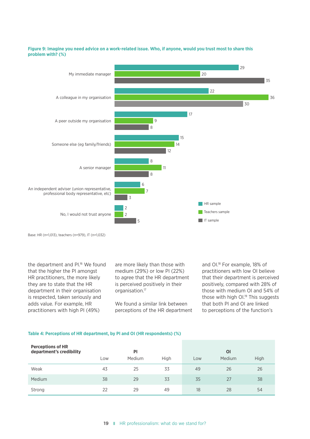#### **Figure 9: Imagine you need advice on a work-related issue. Who, if anyone, would you trust most to share this problem with? (%)**



Base: HR (n=1,013), teachers (n=979), IT (n=1,032)

the department and PI.<sup>16</sup> We found that the higher the PI amongst HR practitioners, the more likely they are to state that the HR department in their organisation is respected, taken seriously and adds value. For example, HR practitioners with high PI (49%)

are more likely than those with medium (29%) or low PI (22%) to agree that the HR department is perceived positively in their organisation.17

We found a similar link between perceptions of the HR department and OI.18 For example, 18% of practitioners with low OI believe that their department is perceived positively, compared with 28% of those with medium OI and 54% of those with high OI.<sup>19</sup> This suggests that both PI and OI are linked to perceptions of the function's

#### **Table 4: Perceptions of HR department, by PI and OI (HR respondents) (%)**

| <b>Perceptions of HR</b><br>department's credibility |     | PI     |      |     | $\overline{O}$ |      |
|------------------------------------------------------|-----|--------|------|-----|----------------|------|
|                                                      | Low | Medium | High | Low | Medium         | High |
| Weak                                                 | 43  | 25     | 33   | 49  | 26             | 26   |
| Medium                                               | 38  | 29     | 33   | 35  | 27             | 38   |
| Strong                                               | 22  | 29     | 49   | 18  | 28             | 54   |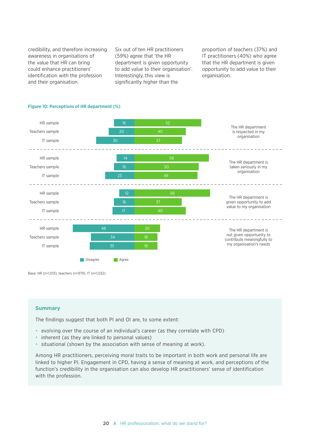credibility, and therefore increasing awareness in organisations of the value that HR can bring could enhance practitioners' identification with the profession and their organisation.

Six out of ten HR practitioners (59%) agree that 'the HR department is given opportunity to add value to their organisation'. Interestingly, this view is significantly higher than the

proportion of teachers (37%) and IT practitioners (40%) who agree that the HR department is given opportunity to add value to their organisation.

#### **Figure 10: Perceptions of HR department (%)**



Base: HR (n=1,013), teachers (n=979), IT (n=1,032)

#### **Summary**

The findings suggest that both PI and OI are, to some extent:

- evolving over the course of an individual's career (as they correlate with CPD)
- inherent (as they are linked to personal values)
- situational (shown by the association with sense of meaning at work).

Among HR practitioners, perceiving moral traits to be important in both work and personal life are linked to higher PI. Engagement in CPD, having a sense of meaning at work, and perceptions of the function's credibility in the organisation can also develop HR practitioners' sense of identification with the profession.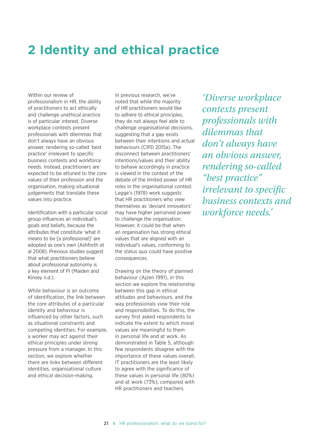# **2 Identity and ethical practice**

Within our review of professionalism in HR, the ability of practitioners to act ethically and challenge unethical practice is of particular interest. Diverse workplace contexts present professionals with dilemmas that don't always have an obvious answer, rendering so-called 'best practice' irrelevant to specific business contexts and workforce needs. Instead, practitioners are expected to be attuned to the core values of their profession and the organisation, making situational judgements that translate these values into practice.

Identification with a particular social group influences an individual's goals and beliefs, because the attributes that constitute 'what it means to be [a professional]' are adopted as one's own (Ashforth et al 2008). Previous studies suggest that what practitioners believe about professional autonomy is a key element of PI (Maiden and Kinsey n.d.).

While behaviour is an outcome of identification, the link between the core attributes of a particular identity and behaviour is influenced by other factors, such as situational constraints and competing identities. For example, a worker may act against their ethical principles under strong pressure from a manager. In this section, we explore whether there are links between different identities, organisational culture and ethical decision-making.

In previous research, we've noted that while the majority of HR practitioners would like to adhere to ethical principles, they do not always feel able to challenge organisational decisions, suggesting that a gap exists between their intentions and actual behaviours (CIPD 2015a). The disconnect between practitioners' intentions/values and their ability to behave accordingly in practice is viewed in the context of the debate of the limited power of HR roles in the organisational context. Legge's (1978) work suggests that HR practitioners who view themselves as 'deviant innovators' may have higher perceived power to challenge the organisation. However, it could be that when an organisation has strong ethical values that are aligned with an individual's values, conforming to the status quo could have positive consequences.

Drawing on the theory of planned behaviour (Ajzen 1991), in this section we explore the relationship between this gap in ethical attitudes and behaviours, and the way professionals view their role and responsibilities. To do this, the survey first asked respondents to indicate the extent to which moral values are meaningful to them in personal life and at work. As demonstrated in Table 5, although few respondents disagree with the importance of these values overall, IT practitioners are the least likely to agree with the significance of these values in personal life (80%) and at work (73%), compared with HR practitioners and teachers.

*'Diverse workplace contexts present professionals with dilemmas that don't always have an obvious answer, rendering so-called ''best practice'' irrelevant to specific business contexts and workforce needs.'*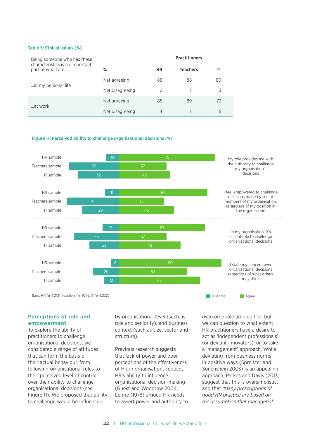#### **Table 5: Ethical values (%)**

| Being someone who has these<br>characteristics is an important | <b>Practitioners</b> |               |                 |    |  |  |
|----------------------------------------------------------------|----------------------|---------------|-----------------|----|--|--|
| part of who I am                                               | %                    | <b>HR</b>     | <b>Teachers</b> | IΤ |  |  |
| in my personal life                                            | Net agreeing         | 88            | 88              | 80 |  |  |
|                                                                | Net disagreeing      | $\mathcal{P}$ | 3               | 3  |  |  |
| at work                                                        | Net agreeing         | 85            | 89              | 73 |  |  |
|                                                                | Net disagreeing      | 4             | 3               | 5  |  |  |

#### **Figure 11: Perceived ability to challenge organisational decisions (%)**



Base: HR (n=1,013), teachers (n=979), IT (n=1,032)

#### **Perceptions of role and empowerment**

To explore the ability of practitioners to challenge organisational decisions, we considered a range of attitudes that can form the basis of their actual behaviour, from following organisational rules to their perceived level of control over their ability to challenge organisational decisions (see Figure 11). We proposed that ability to challenge would be influenced

by organisational level (such as role and seniority), and business context (such as size, sector and structure).

Previous research suggests that lack of power and poor perceptions of the effectiveness of HR in organisations reduces HR's ability to influence organisational decision-making (Guest and Woodrow 2004). Legge (1978) argued HR needs to assert power and authority to overcome role ambiguities, but we can question to what extent HR practitioners have a desire to act as 'independent professionals' (or deviant innovators), or to take a 'management' approach. While deviating from business norms in positive ways (Spreitzer and Sonenshein 2003) is an appealing approach, Parkes and Davis (2013) suggest that this is oversimplistic, and that *'many prescriptions of good HR practice are based on the assumption that managerial*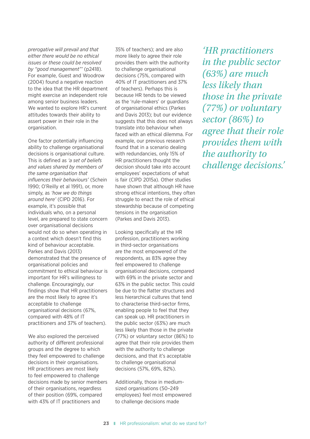*prerogative will prevail and that either there would be no ethical issues or these could be resolved by "good management"'* (p2418). For example, Guest and Woodrow (2004) found a negative reaction to the idea that the HR department might exercise an independent role among senior business leaders. We wanted to explore HR's current attitudes towards their ability to assert power in their role in the organisation.

One factor potentially influencing ability to challenge organisational decisions is organisational culture. This is defined as *'a set of beliefs and values shared by members of the same organisation that influences their behaviours'* (Schein 1990; O'Reilly et al 1991), or, more simply, as *'how we do things around here'* (CIPD 2016). For example, it's possible that individuals who, on a personal level, are prepared to state concern over organisational decisions would not do so when operating in a context which doesn't find this kind of behaviour acceptable. Parkes and Davis (2013) demonstrated that the presence of organisational policies and commitment to ethical behaviour is important for HR's willingness to challenge. Encouragingly, our findings show that HR practitioners are the most likely to agree it's acceptable to challenge organisational decisions (67%, compared with 48% of IT practitioners and 37% of teachers).

We also explored the perceived authority of different professional groups and the degree to which they feel empowered to challenge decisions in their organisations. HR practitioners are most likely to feel empowered to challenge decisions made by senior members of their organisations, regardless of their position (69%, compared with 43% of IT practitioners and

35% of teachers); and are also more likely to agree their role provides them with the authority to challenge organisational decisions (75%, compared with 40% of IT practitioners and 37% of teachers). Perhaps this is because HR tends to be viewed as the 'rule-makers' or guardians of organisational ethics (Parkes and Davis 2013); but our evidence suggests that this does not always translate into behaviour when faced with an ethical dilemma. For example, our previous research found that in a scenario dealing with redundancies, only 15% of HR practitioners thought the decision should take into account employees' expectations of what is fair (CIPD 2015a). Other studies have shown that although HR have strong ethical intentions, they often struggle to enact the role of ethical stewardship because of competing tensions in the organisation (Parkes and Davis 2013).

Looking specifically at the HR profession, practitioners working in third-sector organisations are the most empowered of the respondents, as 83% agree they feel empowered to challenge organisational decisions, compared with 69% in the private sector and 63% in the public sector. This could be due to the flatter structures and less hierarchical cultures that tend to characterise third-sector firms, enabling people to feel that they can speak up. HR practitioners in the public sector (63%) are much less likely than those in the private (77%) or voluntary sector (86%) to agree that their role provides them with the authority to challenge decisions, and that it's acceptable to challenge organisational decisions (57%, 69%, 82%).

Additionally, those in mediumsized organisations (50–249 employees) feel most empowered to challenge decisions made

*'HR practitioners in the public sector (63%) are much less likely than those in the private (77%) or voluntary sector (86%) to agree that their role provides them with the authority to challenge decisions.'*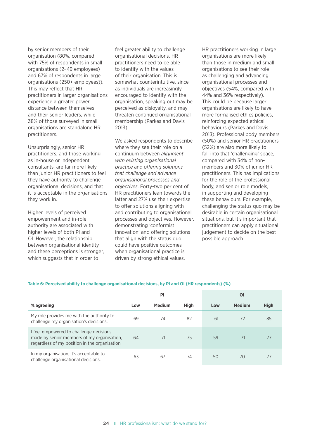by senior members of their organisation (80%, compared with 75% of respondents in small organisations (2–49 employees) and 67% of respondents in large organisations (250+ employees)). This may reflect that HR practitioners in larger organisations experience a greater power distance between themselves and their senior leaders, while 38% of those surveyed in small organisations are standalone HR practitioners.

Unsurprisingly, senior HR practitioners, and those working as in-house or independent consultants, are far more likely than junior HR practitioners to feel they have authority to challenge organisational decisions, and that it is acceptable in the organisations they work in.

Higher levels of perceived empowerment and in-role authority are associated with higher levels of both PI and OI. However, the relationship between organisational identity and these perceptions is stronger, which suggests that in order to

feel greater ability to challenge organisational decisions, HR practitioners need to be able to identify with the values of their organisation. This is somewhat counterintuitive, since as individuals are increasingly encouraged to identify with the organisation, speaking out may be perceived as disloyalty, and may threaten continued organisational membership (Parkes and Davis 2013).

We asked respondents to describe where they see their role on a continuum between *alignment with existing organisational practice* and *offering solutions that challenge and advance organisational processes and objectives*. Forty-two per cent of HR practitioners lean towards the latter and 27% use their expertise to offer solutions aligning with and contributing to organisational processes and objectives. However, demonstrating 'conformist innovation' and offering solutions that align with the status quo could have positive outcomes when organisational practice is driven by strong ethical values.

HR practitioners working in large organisations are more likely than those in medium and small organisations to see their role as challenging and advancing organisational processes and objectives (54%, compared with 44% and 36% respectively). This could be because larger organisations are likely to have more formalised ethics policies, reinforcing expected ethical behaviours (Parkes and Davis 2013). Professional body members (50%) and senior HR practitioners (52%) are also more likely to fall into that 'challenging' space, compared with 34% of nonmembers and 30% of junior HR practitioners. This has implications for the role of the professional body, and senior role models, in supporting and developing these behaviours. For example, challenging the status quo may be desirable in certain organisational situations, but it's important that practitioners can apply situational judgement to decide on the best possible approach.

|                                                                                                                                         |     | PI            |             |     | ΟI            |             |
|-----------------------------------------------------------------------------------------------------------------------------------------|-----|---------------|-------------|-----|---------------|-------------|
| % agreeing                                                                                                                              | Low | <b>Medium</b> | <b>High</b> | Low | <b>Medium</b> | <b>High</b> |
| My role provides me with the authority to<br>challenge my organisation's decisions.                                                     | 69  | 74            | 82          | 61  | 72            | 85          |
| I feel empowered to challenge decisions<br>made by senior members of my organisation,<br>regardless of my position in the organisation. | 64  | 71            | 75          | 59  | 71            |             |
| In my organisation, it's acceptable to<br>challenge organisational decisions.                                                           | 63  | 67            | 74          | 50  | 70            |             |

#### **Table 6: Perceived ability to challenge organisational decisions, by PI and OI (HR respondents) (%)**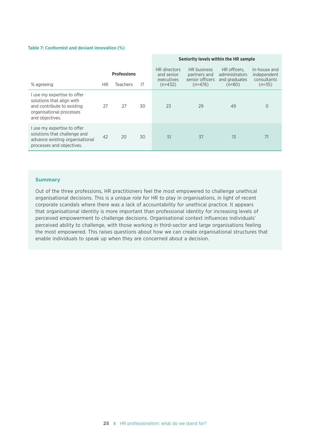#### **Table 7: Conformist and deviant innovation (%)**

|                                                                                                                                       |           |                                             |    | Seniority levels within the HR sample                 |                                                             |                                                             |                                                        |  |
|---------------------------------------------------------------------------------------------------------------------------------------|-----------|---------------------------------------------|----|-------------------------------------------------------|-------------------------------------------------------------|-------------------------------------------------------------|--------------------------------------------------------|--|
| % agreeing                                                                                                                            | <b>HR</b> | <b>Professions</b><br>IT<br><b>Teachers</b> |    | HR directors<br>and senior<br>executives<br>$(n=432)$ | HR business<br>partners and<br>senior officers<br>$(n=476)$ | HR officers.<br>administrators<br>and graduates<br>$(n=80)$ | In-house and<br>independent<br>consultants<br>$(n=35)$ |  |
| I use my expertise to offer<br>solutions that align with<br>and contribute to existing<br>organisational processes<br>and objectives. | 27        | 27                                          | 30 | 23                                                    | 29                                                          | 49                                                          | 0                                                      |  |
| I use my expertise to offer<br>solutions that challenge and<br>advance existing organisational<br>processes and objectives.           | 42        | 20                                          | 30 | 51                                                    | 37                                                          | 13                                                          | 71                                                     |  |

#### **Summary**

Out of the three professions, HR practitioners feel the most empowered to challenge unethical organisational decisions. This is a unique role for HR to play in organisations, in light of recent corporate scandals where there was a lack of accountability for unethical practice. It appears that organisational identity is more important than professional identity for increasing levels of perceived empowerment to challenge decisions. Organisational context influences individuals' perceived ability to challenge, with those working in third-sector and large organisations feeling the most empowered. This raises questions about how we can create organisational structures that enable individuals to speak up when they are concerned about a decision.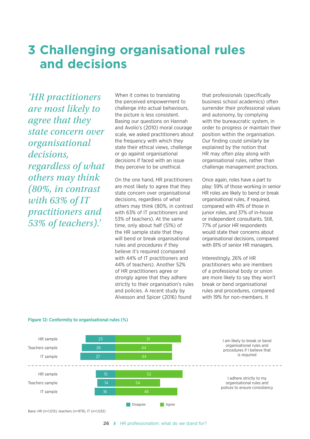# **3 Challenging organisational rules and decisions**

*'HR practitioners are most likely to agree that they state concern over organisational decisions, regardless of what others may think (80%, in contrast with 63% of IT practitioners and 53% of teachers).'*

When it comes to translating the perceived empowerment to challenge into actual behaviours, the picture is less consistent. Basing our questions on Hannah and Avolio's (2010) moral courage scale, we asked practitioners about the frequency with which they state their ethical views, challenge or go against organisational decisions if faced with an issue they perceive to be unethical.

On the one hand, HR practitioners are most likely to agree that they state concern over organisational decisions, regardless of what others may think (80%, in contrast with 63% of IT practitioners and 53% of teachers). At the same time, only about half (51%) of the HR sample state that they will bend or break organisational rules and procedures if they believe it's required (compared with 44% of IT practitioners and 44% of teachers). Another 52% of HR practitioners agree or strongly agree that they adhere strictly to their organisation's rules and policies. A recent study by Alvesson and Spicer (2016) found

that professionals (specifically business school academics) often surrender their professional values and autonomy, by complying with the bureaucratic system, in order to progress or maintain their position within the organisation. Our finding could similarly be explained by the notion that HR may often play along with organisational rules, rather than challenge management practices.

Once again, roles have a part to play: 59% of those working in senior HR roles are likely to bend or break organisational rules, if required, compared with 41% of those in junior roles, and 37% of in-house or independent consultants. Still, 77% of junior HR respondents would state their concerns about organisational decisions, compared with 81% of senior HR managers.

Interestingly, 26% of HR practitioners who are members of a professional body or union are more likely to say they won't break or bend organisational rules and procedures, compared with 19% for non-members. It



#### **Figure 12: Conformity to organisational rules (%)**

Base: HR (n=1,013), teachers (n=979), IT (n=1,032)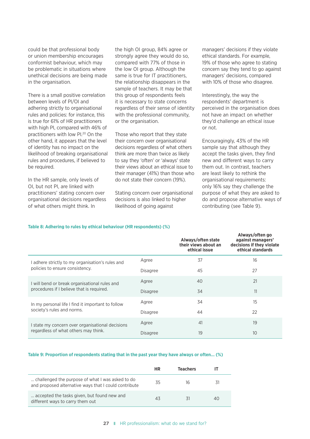could be that professional body or union membership encourages conformist behaviour, which may be problematic in situations where unethical decisions are being made in the organisation.

There is a small positive correlation between levels of PI/OI and adhering strictly to organisational rules and policies: for instance, this is true for 61% of HR practitioners with high PI, compared with 46% of practitioners with low PI.20 On the other hand, it appears that the level of identity has no impact on the likelihood of breaking organisational rules and procedures, if believed to be required.

In the HR sample, only levels of OI, but not PI, are linked with practitioners' stating concern over organisational decisions regardless of what others might think. In

the high OI group, 84% agree or strongly agree they would do so, compared with 77% of those in the low OI group. Although the same is true for IT practitioners, the relationship disappears in the sample of teachers. It may be that this group of respondents feels it is necessary to state concerns regardless of their sense of identity with the professional community, or the organisation.

Those who report that they state their concern over organisational decisions regardless of what others think are more than twice as likely to say they 'often' or 'always' state their views about an ethical issue to their manager (41%) than those who do not state their concern (19%).

Stating concern over organisational decisions is also linked to higher likelihood of going against

managers' decisions if they violate ethical standards. For example, 19% of those who agree to stating concern say they tend to go against managers' decisions, compared with 10% of those who disagree.

Interestingly, the way the respondents' department is perceived in the organisation does not have an impact on whether they'd challenge an ethical issue or not.

Encouragingly, 43% of the HR sample say that although they accept the tasks given, they find new and different ways to carry them out. In contrast, teachers are least likely to rethink the organisational requirements: only 16% say they challenge the purpose of what they are asked to do and propose alternative ways of contributing (see Table 9).

#### **Table 8: Adhering to rules by ethical behaviour (HR respondents) (%)**

|                                                                                            |                 | Always/often state<br>their views about an<br>ethical issue | Always/often go<br>against managers'<br>decisions if they violate<br>ethical standards |
|--------------------------------------------------------------------------------------------|-----------------|-------------------------------------------------------------|----------------------------------------------------------------------------------------|
| I adhere strictly to my organisation's rules and<br>policies to ensure consistency.        | Agree           | 37                                                          | 16                                                                                     |
|                                                                                            | <b>Disagree</b> | 45                                                          | 27                                                                                     |
| I will bend or break organisational rules and<br>procedures if I believe that is required. | Agree           | 40                                                          | 21                                                                                     |
|                                                                                            | <b>Disagree</b> | 34                                                          | 11                                                                                     |
| In my personal life I find it important to follow                                          | Agree           | 34                                                          | 15                                                                                     |
| society's rules and norms.                                                                 | <b>Disagree</b> | 44                                                          | 22                                                                                     |
| I state my concern over organisational decisions                                           | Agree           | 41                                                          | 19                                                                                     |
| regardless of what others may think.                                                       | <b>Disagree</b> | 19                                                          | 10                                                                                     |

#### **Table 9: Proportion of respondents stating that in the past year they have always or often… (%)**

|                                                                                                           | HR | Teachers |    |
|-----------------------------------------------------------------------------------------------------------|----|----------|----|
| challenged the purpose of what I was asked to do<br>and proposed alternative ways that I could contribute | 35 | 16       |    |
| accepted the tasks given, but found new and<br>different ways to carry them out                           | 43 |          | 40 |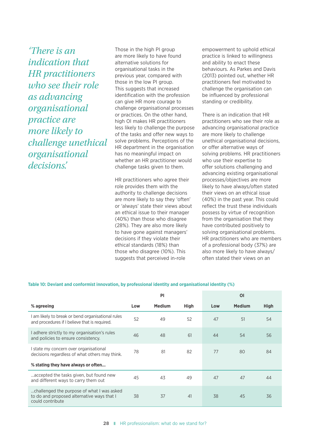*'There is an indication that HR practitioners who see their role as advancing organisational practice are more likely to challenge unethical organisational decisions'.*

Those in the high PI group are more likely to have found alternative solutions for organisational tasks in the previous year, compared with those in the low PI group. This suggests that increased identification with the profession can give HR more courage to challenge organisational processes or practices. On the other hand, high OI makes HR practitioners less likely to challenge the purpose of the tasks and offer new ways to solve problems. Perceptions of the HR department in the organisation has no meaningful impact on whether an HR practitioner would challenge tasks given to them.

HR practitioners who agree their role provides them with the authority to challenge decisions are more likely to say they 'often' or 'always' state their views about an ethical issue to their manager (40%) than those who disagree (28%). They are also more likely to have gone against managers' decisions if they violate their ethical standards (18%) than those who disagree (10%). This suggests that perceived in-role

empowerment to uphold ethical practice is linked to willingness and ability to enact these behaviours. As Parkes and Davis (2013) pointed out, whether HR practitioners feel motivated to challenge the organisation can be influenced by professional standing or credibility.

There is an indication that HR practitioners who see their role as advancing organisational practice are more likely to challenge unethical organisational decisions, or offer alternative ways of solving problems. HR practitioners who use their expertise to offer solutions challenging and advancing existing organisational processes/objectives are more likely to have always/often stated their views on an ethical issue (40%) in the past year. This could reflect the trust these individuals possess by virtue of recognition from the organisation that they have contributed positively to solving organisational problems. HR practitioners who are members of a professional body (37%) are also more likely to have always/ often stated their views on an

|                                                                                                              |     | <b>PI</b>     |             |     | ΟI            |             |
|--------------------------------------------------------------------------------------------------------------|-----|---------------|-------------|-----|---------------|-------------|
| % agreeing                                                                                                   | Low | <b>Medium</b> | <b>High</b> | Low | <b>Medium</b> | <b>High</b> |
| I am likely to break or bend organisational rules<br>and procedures if I believe that is required.           | 52  | 49            | 52          | 47  | 51            | 54          |
| I adhere strictly to my organisation's rules<br>and policies to ensure consistency.                          | 46  | 48            | 61          | 44  | 54            | 56          |
| I state my concern over organisational<br>decisions regardless of what others may think.                     | 78  | 81            | 82          | 77  | 80            | 84          |
| % stating they have always or often                                                                          |     |               |             |     |               |             |
| accepted the tasks given, but found new<br>and different ways to carry them out                              | 45  | 43            | 49          | 47  | 47            | 44          |
| challenged the purpose of what I was asked<br>to do and proposed alternative ways that I<br>could contribute | 38  | 37            | 41          | 38  | 45            | 36          |

#### **Table 10: Deviant and conformist innovation, by professional identity and organisational identity (%)**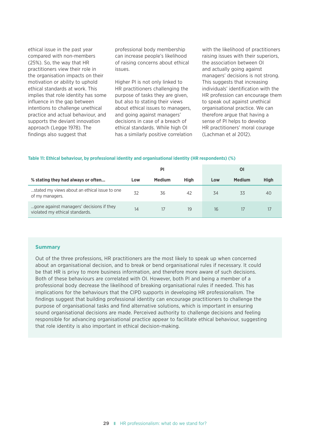ethical issue in the past year compared with non-members (25%). So, the way that HR practitioners view their role in the organisation impacts on their motivation or ability to uphold ethical standards at work. This implies that role identity has some influence in the gap between intentions to challenge unethical practice and actual behaviour, and supports the deviant innovation approach (Legge 1978). The findings also suggest that

professional body membership can increase people's likelihood of raising concerns about ethical issues.

Higher PI is not only linked to HR practitioners challenging the purpose of tasks they are given, but also to stating their views about ethical issues to managers, and going against managers' decisions in case of a breach of ethical standards. While high OI has a similarly positive correlation

with the likelihood of practitioners raising issues with their superiors, the association between OI and actually going against managers' decisions is not strong. This suggests that increasing individuals' identification with the HR profession can encourage them to speak out against unethical organisational practice. We can therefore argue that having a sense of PI helps to develop HR practitioners' moral courage (Lachman et al 2012).

#### **Table 11: Ethical behaviour, by professional identity and organisational identity (HR respondents) (%)**

|                                                                            |     | PI            |             |     | ΟI            |             |
|----------------------------------------------------------------------------|-----|---------------|-------------|-----|---------------|-------------|
| % stating they had always or often                                         | Low | <b>Medium</b> | <b>High</b> | Low | <b>Medium</b> | <b>High</b> |
| stated my views about an ethical issue to one<br>of my managers.           | 32  | 36            | 42          | 34  | 33            | 40          |
| gone against managers' decisions if they<br>violated my ethical standards. | 14  |               | 19          | 16  |               |             |

#### **Summary**

Out of the three professions, HR practitioners are the most likely to speak up when concerned about an organisational decision, and to break or bend organisational rules if necessary. It could be that HR is privy to more business information, and therefore more aware of such decisions. Both of these behaviours are correlated with OI. However, both PI and being a member of a professional body decrease the likelihood of breaking organisational rules if needed. This has implications for the behaviours that the CIPD supports in developing HR professionalism. The findings suggest that building professional identity can encourage practitioners to challenge the purpose of organisational tasks and find alternative solutions, which is important in ensuring sound organisational decisions are made. Perceived authority to challenge decisions and feeling responsible for advancing organisational practice appear to facilitate ethical behaviour, suggesting that role identity is also important in ethical decision-making.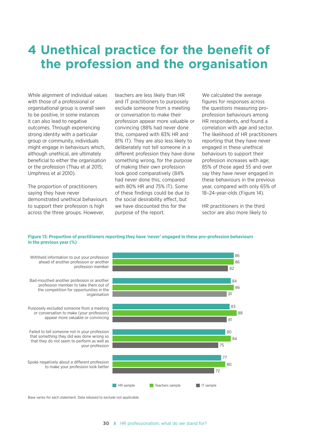# **4 Unethical practice for the benefit of the profession and the organisation**

While alignment of individual values with those of a professional or organisational group is overall seen to be positive, in some instances it can also lead to negative outcomes. Through experiencing strong identity with a particular group or community, individuals might engage in behaviours which, although unethical, are ultimately beneficial to either the organisation or the profession (Thau et al 2015; Umphress et al 2010).

The proportion of practitioners saying they have never demonstrated unethical behaviours to support their profession is high across the three groups. However,

teachers are less likely than HR and IT practitioners to purposely exclude someone from a meeting or conversation to make their profession appear more valuable or convincing (88% had never done this, compared with 83% HR and 81% IT). They are also less likely to deliberately not tell someone in a different profession they have done something wrong, for the purpose of making their own profession look good comparatively (84% had never done this, compared with 80% HR and 75% IT). Some of these findings could be due to the social desirability effect, but we have discounted this for the purpose of the report.

We calculated the average figures for responses across the questions measuring proprofession behaviours among HR respondents, and found a correlation with age and sector. The likelihood of HR practitioners reporting that they have never engaged in these unethical behaviours to support their profession increases with age; 85% of those aged 55 and over say they have never engaged in these behaviours in the previous year, compared with only 65% of 18–24-year-olds (Figure 14).

HR practitioners in the third sector are also more likely to

#### **Figure 13: Proportion of practitioners reporting they have 'never' engaged in these pro-profession behaviours in the previous year (%)**



Base varies for each statement. Data rebased to exclude not applicable.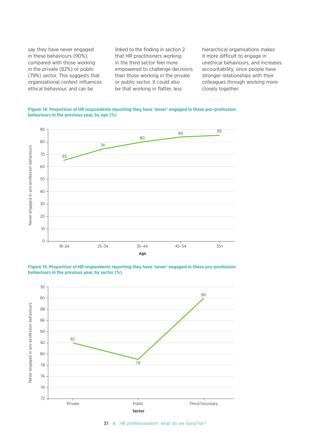say they have never engaged in these behaviours (90%), compared with those working in the private (82%) or public (79%) sector. This suggests that organisational context influences ethical behaviour, and can be

linked to the finding in section 2 that HR practitioners working in the third sector feel more empowered to challenge decisions than those working in the private or public sector. It could also be that working in flatter, less

hierarchical organisations makes it more difficult to engage in unethical behaviours, and increases accountability, since people have stronger relationships with their colleagues through working more closely together.





**Figure 15: Proportion of HR respondents reporting they have 'never' engaged in these pro-profession behaviours in the previous year, by sector (%)**



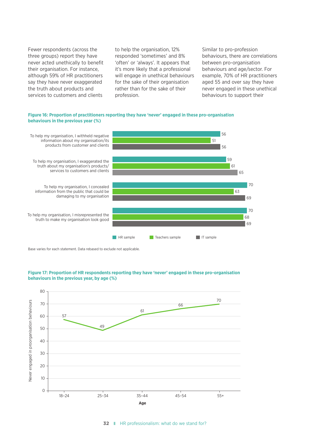Fewer respondents (across the three groups) report they have never acted unethically to benefit their organisation. For instance, although 59% of HR practitioners say they have never exaggerated the truth about products and services to customers and clients

to help the organisation, 12% responded 'sometimes' and 8% 'often' or 'always'. It appears that it's more likely that a professional will engage in unethical behaviours for the sake of their organisation rather than for the sake of their profession.

Similar to pro-profession behaviours, there are correlations between pro-organisation behaviours and age/sector. For example, 70% of HR practitioners aged 55 and over say they have never engaged in these unethical behaviours to support their

#### **Figure 16: Proportion of practitioners reporting they have 'never' engaged in these pro-organisation behaviours in the previous year (%)**



Base varies for each statement. Data rebased to exclude not applicable.



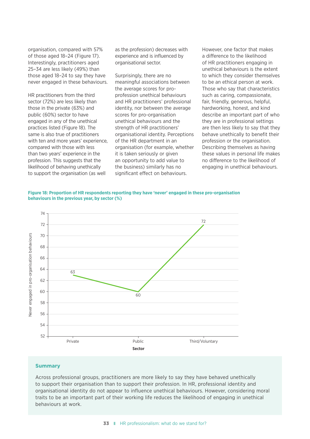organisation, compared with 57% of those aged 18–24 (Figure 17). Interestingly, practitioners aged 25–34 are less likely (49%) than those aged 18–24 to say they have never engaged in these behaviours.

HR practitioners from the third sector (72%) are less likely than those in the private (63%) and public (60%) sector to have engaged in any of the unethical practices listed (Figure 18). The same is also true of practitioners with ten and more years' experience. compared with those with less than two years' experience in the profession. This suggests that the likelihood of behaving unethically to support the organisation (as well

as the profession) decreases with experience and is influenced by organisational sector.

Surprisingly, there are no meaningful associations between the average scores for proprofession unethical behaviours and HR practitioners' professional identity, nor between the average scores for pro-organisation unethical behaviours and the strength of HR practitioners' organisational identity. Perceptions of the HR department in an organisation (for example, whether it is taken seriously or given an opportunity to add value to the business) similarly has no significant effect on behaviours.

However, one factor that makes a difference to the likelihood of HR practitioners engaging in unethical behaviours is the extent to which they consider themselves to be an ethical person at work. Those who say that characteristics such as caring, compassionate, fair, friendly, generous, helpful, hardworking, honest, and kind describe an important part of who they are in professional settings are then less likely to say that they behave unethically to benefit their profession or the organisation. Describing themselves as having these values in personal life makes no difference to the likelihood of engaging in unethical behaviours.





#### **Summary**

Across professional groups, practitioners are more likely to say they have behaved unethically to support their organisation than to support their profession. In HR, professional identity and organisational identity do not appear to influence unethical behaviours. However, considering moral traits to be an important part of their working life reduces the likelihood of engaging in unethical behaviours at work.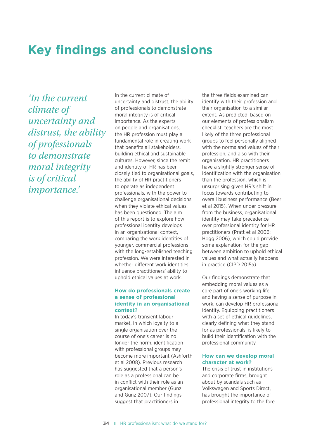### **Key findings and conclusions**

*'In the current climate of uncertainty and distrust, the ability of professionals to demonstrate moral integrity is of critical importance.'*

In the current climate of uncertainty and distrust, the ability of professionals to demonstrate moral integrity is of critical importance. As the experts on people and organisations, the HR profession must play a fundamental role in creating work that benefits all stakeholders, building ethical and sustainable cultures. However, since the remit and identity of HR has been closely tied to organisational goals, the ability of HR practitioners to operate as independent professionals, with the power to challenge organisational decisions when they violate ethical values, has been questioned. The aim of this report is to explore how professional identity develops in an organisational context, comparing the work identities of younger, commercial professions with the long-established teaching profession. We were interested in whether different work identities influence practitioners' ability to uphold ethical values at work.

#### **How do professionals create a sense of professional identity in an organisational context?**

In today's transient labour market, in which loyalty to a single organisation over the course of one's career is no longer the norm, identification with professional groups may become more important (Ashforth et al 2008). Previous research has suggested that a person's role as a professional can be in conflict with their role as an organisational member (Gunz and Gunz 2007). Our findings suggest that practitioners in

the three fields examined can identify with their profession and their organisation to a similar extent. As predicted, based on our elements of professionalism checklist, teachers are the most likely of the three professional groups to feel personally aligned with the norms and values of their profession, and also with their organisation. HR practitioners have a slightly stronger sense of identification with the organisation than the profession, which is unsurprising given HR's shift in focus towards contributing to overall business performance (Beer et al 2015). When under pressure from the business, organisational identity may take precedence over professional identity for HR practitioners (Pratt et al 2006; Hogg 2006), which could provide some explanation for the gap between ambition to uphold ethical values and what actually happens in practice (CIPD 2015a).

Our findings demonstrate that embedding moral values as a core part of one's working life, and having a sense of purpose in work, can develop HR professional identity. Equipping practitioners with a set of ethical guidelines, clearly defining what they stand for as professionals, is likely to build their identification with the professional community.

#### **How can we develop moral character at work?**

The crisis of trust in institutions and corporate firms, brought about by scandals such as Volkswagen and Sports Direct, has brought the importance of professional integrity to the fore.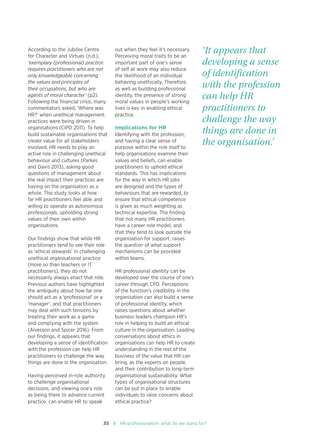According to the Jubilee Centre for Character and Virtues (n.d.), *'exemplary (professional) practice requires practitioners who are not only knowledgeable concerning the values and principles of their occupations, but who are agents of moral character'* (p2). Following the financial crisis, many commentators asked, 'Where was HR?' when unethical management practices were being driven in organisations (CIPD 2011). To help build sustainable organisations that create value for all stakeholders involved, HR needs to play an active role in challenging unethical behaviour and cultures (Parkes and Davis 2013), asking good questions of management about the real impact their practices are having on the organisation as a whole. This study looks at how far HR practitioners feel able and willing to operate as autonomous professionals, upholding strong values of their own within organisations.

Our findings show that while HR practitioners tend to see their role as 'ethical stewards' in challenging unethical organisational practice (more so than teachers or IT practitioners), they do not necessarily always enact that role. Previous authors have highlighted the ambiguity about how far one should act as a 'professional' or a 'manager', and that practitioners may deal with such tensions by treating their work as a game and complying with the system (Alvesson and Spicer 2016). From our findings, it appears that developing a sense of identification with the profession can help HR practitioners to challenge the way things are done in the organisation.

Having perceived in-role authority to challenge organisational decisions, and viewing one's role as being there to advance current practice, can enable HR to speak

out when they feel it's necessary. Perceiving moral traits to be an important part of one's sense of self at work may also reduce the likelihood of an individual behaving unethically. Therefore, as well as building professional identity, the presence of strong moral values in people's working lives is key in enabling ethical practice.

#### **Implications for HR**

Identifying with the profession, and having a clear sense of purpose within the role itself to help organisations examine their values and beliefs, can enable practitioners to uphold ethical standards. This has implications for the way in which HR jobs are designed and the types of behaviours that are rewarded, to ensure that ethical competence is given as much weighting as technical expertise. The finding that not many HR practitioners have a career role model, and that they tend to look outside the organisation for support, raises the question of what support mechanisms can be provided within teams.

HR professional identity can be developed over the course of one's career through CPD. Perceptions of the function's credibility in the organisation can also build a sense of professional identity, which raises questions about whether business leaders champion HR's role in helping to build an ethical culture in the organisation. Leading conversations about ethics in organisations can help HR to create understanding in the rest of the business of the value that HR can bring, as the experts on people, and their contribution to long-term organisational sustainability. What types of organisational structures can be put in place to enable individuals to raise concerns about ethical practice?

*'It appears that developing a sense of identification with the profession can help HR practitioners to challenge the way things are done in the organisation.'*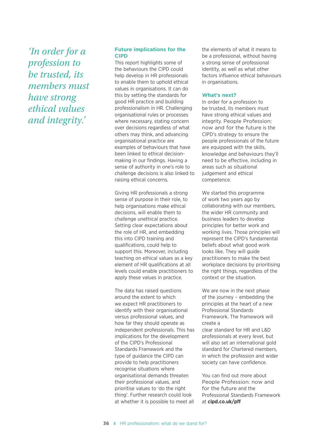*'In order for a profession to be trusted, its members must have strong ethical values and integrity.'*

#### **Future implications for the CIPD**

This report highlights some of the behaviours the CIPD could help develop in HR professionals to enable them to uphold ethical values in organisations. It can do this by setting the standards for good HR practice and building professionalism in HR. Challenging organisational rules or processes where necessary, stating concern over decisions regardless of what others may think, and advancing organisational practice are examples of behaviours that have been linked to ethical decisionmaking in our findings. Having a sense of authority in one's role to challenge decisions is also linked to raising ethical concerns.

Giving HR professionals a strong sense of purpose in their role, to help organisations make ethical decisions, will enable them to challenge unethical practice. Setting clear expectations about the role of HR, and embedding this into CIPD training and qualifications, could help to support this. Moreover, including teaching on ethical values as a key element of HR qualifications at all levels could enable practitioners to apply these values in practice.

The data has raised questions around the extent to which we expect HR practitioners to identify with their organisational versus professional values, and how far they should operate as independent professionals. This has implications for the development of the CIPD's Professional Standards Framework and the type of guidance the CIPD can provide to help practitioners recognise situations where organisational demands threaten their professional values, and prioritise values to 'do the right thing'. Further research could look at whether it is possible to meet all

the elements of what it means to be a professional, without having a strong sense of professional identity, as well as what other factors influence ethical behaviours in organisations.

#### **What's next?**

In order for a profession to be trusted, its members must have strong ethical values and integrity. People Profession: now and for the future is the CIPD's strategy to ensure the people professionals of the future are equipped with the skills, knowledge and behaviours they'll need to be effective, including in areas such as situational judgement and ethical competence.

We started this programme of work two years ago by collaborating with our members, the wider HR community and business leaders to develop principles for better work and working lives. Those principles will represent the CIPD's fundamental beliefs about what good work looks like. They will guide practitioners to make the best workplace decisions by prioritising the right things, regardless of the context or the situation.

We are now in the next phase of the journey – embedding the principles at the heart of a new Professional Standards Framework. The framework will create a clear standard for HR and L&D professionals at every level, but will also set an international gold standard for Chartered members, in which the profession and wider society can have confidence.

You can find out more about People Profession: now and for the future and the Professional Standards Framework at **cipd.co.uk/pff**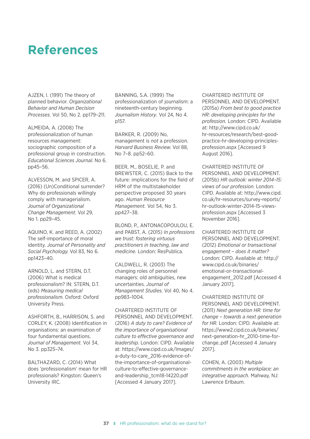### **References**

AJZEN, I. (1991) The theory of planned behavior. *Organizational Behavior and Human Decision Processes*. Vol 50, No 2. pp179–211.

ALMEIDA, A. (2008) The professionalization of human resources management: sociographic composition of a professional group in construction. *Educational Sciences Journal.* No 6. pp45–56.

ALVESSON, M. and SPICER, A. (2016) (Un)Conditional surrender? Why do professionals willingly comply with managerialism. *Journal of Organizational Change Management*. Vol 29, No 1. pp29–45.

AQUINO, K. and REED, A. (2002) The self-importance of moral identity. *Journal of Personality and Social Psychology.* Vol 83, No 6. pp1423–40.

ARNOLD, L. and STERN, D.T. (2006) What is medical professionalism? IN: STERN, D.T. (eds) *Measuring medical professionalism.* Oxford: Oxford University Press.

ASHFORTH, B., HARRISON, S. and CORLEY, K. (2008) Identification in organisations: an examination of four fundamental questions. *Journal of Management.* Vol 34, No 3. pp325–74.

BALTHAZARD, C. (2014) What does 'professionalism' mean for HR professionals? Kingston: Queen's University IRC.

BANNING, S.A. (1999) The professionalization of journalism: a nineteenth-century beginning. *Journalism History*. Vol 24, No 4. p157.

BARKER, R. (2009) No, management is *not* a profession. *Harvard Business Review.* Vol 88, No 7–8. pp52–60.

BEER, M., BOSELIE, P. and BREWSTER, C. (2015) Back to the future: implications for the field of HRM of the multistakeholder perspective proposed 30 years ago. *Human Resource Management.* Vol 54, No 3. pp427–38.

BLOND, P., ANTONACOPOULOU, E. and PABST, A. (2015) *In professions we trust: fostering virtuous practitioners in teaching, law and medicine.* London: ResPublica.

CALDWELL, R. (2003) The changing roles of personnel managers: old ambiguities, new uncertainties. *Journal of Management Studies.* Vol 40, No 4. pp983–1004.

CHARTERED INSTITUTE OF PERSONNEL AND DEVELOPMENT. (2016) *A duty to care? Evidence of the importance of organisational culture to effective governance and leadership.* London: CIPD. Available at: https://www.cipd.co.uk/Images/ a-duty-to-care\_2016-evidence-ofthe-importance-of-organisationalculture-to-effective-governanceand-leadership\_tcm18-14220.pdf [Accessed 4 January 2017].

CHARTERED INSTITUTE OF PERSONNEL AND DEVELOPMENT. (2015a) *From best to good practice HR: developing principles for the profession.* London: CIPD. Available at: http://www.cipd.co.uk/ hr-resources/research/best-goodpractice-hr-developing-principlesprofession.aspx [Accessed 9 August 2016].

CHARTERED INSTITUTE OF PERSONNEL AND DEVELOPMENT. (2015b) *HR outlook: winter 2014–15: views of our profession.* London: CIPD. Available at: http://www.cipd. co.uk/hr-resources/survey-reports/ hr-outlook-winter-2014-15-viewsprofession.aspx [Accessed 3 November 2016].

CHARTERED INSTITUTE OF PERSONNEL AND DEVELOPMENT. (2012) *Emotional or transactional engagement – does it matter?*  London: CIPD. Available at: http:// www.cipd.co.uk/binaries/ emotional-or-transactionalengagement\_2012.pdf [Accessed 4 January 2017].

CHARTERED INSTITUTE OF PERSONNEL AND DEVELOPMENT. (2011) *Next generation HR: time for change – towards a next generation for HR.* London: CIPD. Available at: https://www2.cipd.co.uk/binaries/ next-generation-hr\_2010-time-forchange..pdf [Accessed 4 January 2017].

COHEN, A. (2003) *Multiple commitments in the workplace: an integrative approach.* Mahway, NJ: Lawrence Erlbaum.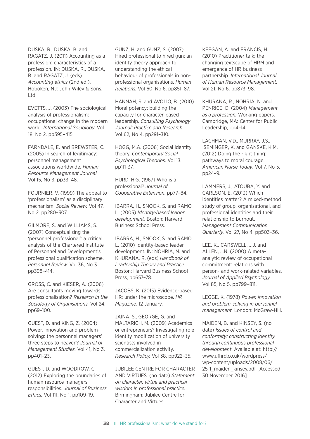DUSKA, R., DUSKA, B. and RAGATZ, J. (2011) Accounting as a profession: characteristics of a profession. IN: DUSKA, R., DUSKA, B. and RAGATZ, J. (eds) *Accounting ethics* (2nd ed.). Hoboken, NJ: John Wiley & Sons, Ltd.

EVETTS, J. (2003) The sociological analysis of professionalism: occupational change in the modern world. *International Sociology.* Vol 18, No 2. pp395–415.

FARNDALE, E. and BREWSTER, C. (2005) In search of legitimacy: personnel management associations worldwide. *Human Resource Management Journal.*  Vol 15, No 3. pp33–48.

FOURNIER, V. (1999) The appeal to 'professionalism' as a disciplinary mechanism. *Social Review.* Vol 47, No 2. pp280–307.

GILMORE, S. and WILLIAMS, S. (2007) Conceptualising the 'personnel professional': a critical analysis of the Chartered Institute of Personnel and Development's professional qualification scheme. *Personnel Review.* Vol 36, No 3. pp398–414.

GROSS, C. and KIESER, A. (2006) Are consultants moving towards professionalisation? *Research in the Sociology of Organisations.* Vol 24. pp69–100.

GUEST, D. and KING, Z. (2004) Power, innovation and problemsolving: the personnel managers' three steps to heaven? *Journal of Management Studies.* Vol 41, No 3. pp401–23.

GUEST, D. and WOODROW, C. (2012) Exploring the boundaries of human resource managers' responsibilities. *Journal of Business Ethics.* Vol 111, No 1. pp109–19.

GUNZ, H. and GUNZ, S. (2007) Hired professional to hired gun: an identity theory approach to understanding the ethical behaviour of professionals in nonprofessional organisations. *Human Relations.* Vol 60, No 6. pp851–87.

HANNAH, S. and AVOLIO, B. (2010) Moral potency: building the capacity for character-based leadership. *Consulting Psychology Journal: Practice and Research*. Vol 62, No 4. pp291–310.

HOGG, M.A. (2006) Social identity theory. *Contemporary Social Psychological Theories*. Vol 13. pp111-37.

HURD, H.G. (1967) Who is a professional? *Journal of Cooperative Extension*. pp77–84.

IBARRA, H., SNOOK, S. and RAMO, L. (2005) *Identity-based leader development.* Boston: Harvard Business School Press.

IBARRA, H., SNOOK, S. and RAMO, L. (2010) Identity-based leader development. IN: NOHRIA, N. and KHURANA, R. (eds) *Handbook of Leadership Theory and Practice.*  Boston: Harvard Business School Press, pp657–78.

JACOBS, K. (2015) Evidence-based HR: under the microscope. *HR Magazine.* 12 January.

JAINA, S., GEORGE, G. and MALTARICH, M. (2009) Academics or entrepreneurs? Investigating role identity modification of university scientists involved in commercialization activity. *Research Policy.* Vol 38. pp922–35.

JUBILEE CENTRE FOR CHARACTER AND VIRTUES. (no date) *Statement on character, virtue and practical wisdom in professional practice.*  Birmingham: Jubilee Centre for Character and Virtues.

KEEGAN, A. and FRANCIS, H. (2010) Practitioner talk: the changing textscape of HRM and emergence of HR business partnership. *International Journal of Human Resource Management.*  Vol 21, No 6. pp873–98.

KHURANA, R., NOHRIA, N. and PENRICE, D. (2004) *Management as a profession.* Working papers. Cambridge, MA: Center for Public Leadership, pp4–14.

LACHMAN, V.D., MURRAY, J.S., ISEMINGER, K. and GANSKE, K.M. (2012) Doing the right thing: pathways to moral courage. *American Nurse Today*. Vol 7, No 5. pp24–9.

LAMMERS, J., ATOUBA, Y. and CARLSON, E. (2013) Which identities matter? A mixed-method study of group, organisational, and professional identities and their relationship to burnout. *Management Communication Quarterly.* Vol 27, No 4. pp503–36.

LEE, K., CARSWELL, J.J. and ALLEN, J.N. (2000) A metaanalytic review of occupational commitment: relations with person- and work-related variables. *Journal of Applied Psychology.*  Vol 85, No 5. pp799–811.

LEGGE, K. (1978) *Power, innovation and problem-solving in personnel management.* London: McGraw-Hill.

MAIDEN, B. and KINSEY, S. (no date) *Issues of control and conformity: constructing identity through continuous professional development*. Available at: http:// www.ufhrd.co.uk/wordpress/ wp-content/uploads/2008/06/ 25-1 maiden kinsey.pdf [Accessed] 30 November 2016].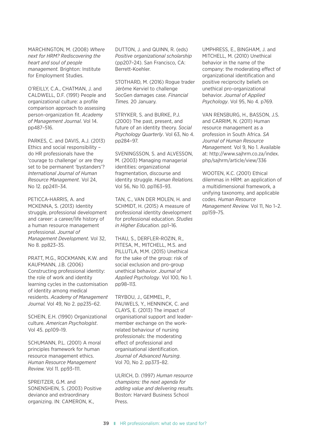MARCHINGTON, M. (2008) *Where next for HRM? Rediscovering the heart and soul of people management.* Brighton: Institute for Employment Studies.

O'REILLY, C.A., CHATMAN, J. and CALDWELL, D.F. (1991) People and organizational culture: a profile comparison approach to assessing person-organization fit. *Academy of Management Journal*. Vol 14. pp487–516.

PARKES, C. and DAVIS, A.J. (2013) Ethics and social responsibility – do HR professionals have the 'courage to challenge' or are they set to be permanent 'bystanders'? *International Journal of Human Resource Management.* Vol 24, No 12. pp2411–34.

PETICCA-HARRIS, A. and MCKENNA, S. (2013) Identity struggle, professional development and career: a career/life history of a human resource management professional. *Journal of Management Development.* Vol 32, No 8. pp823–35.

PRATT, M.G., ROCKMANN, K.W. and KAUFMANN, J.B. (2006) Constructing professional identity: the role of work and identity learning cycles in the customisation of identity among medical residents. *Academy of Management Journal.* Vol 49, No 2. pp235–62.

SCHEIN, E.H. (1990) Organizational culture. *American Psychologist*. Vol 45. pp109–19.

SCHUMANN, P.L. (2001) A moral principles framework for human resource management ethics. *Human Resource Management Review.* Vol 11. pp93–111.

SPREITZER, G.M. and SONENSHEIN, S. (2003) Positive deviance and extraordinary organizing. IN: CAMERON, K.,

DUTTON, J. and QUINN, R. (eds) *Positive organizational scholarship* (pp207–24). San Francisco, CA: Berrett-Koehler.

STOTHARD, M. (2016) Rogue trader Jérôme Kerviel to challenge SocGen damages case. *Financial Times.* 20 January.

STRYKER, S. and BURKE, P.J. (2000) The past, present, and future of an identity theory. *Social Psychology Quarterly*. Vol 63, No 4. pp284–97.

SVENINGSSON, S. and ALVESSON, M. (2003) Managing managerial identities: organizational fragmentation, discourse and identity struggle. *Human Relations.*  Vol 56, No 10. pp1163–93.

TAN, C., VAN DER MOLEN, H. and SCHMIDT, H. (2015) A measure of professional identity development for professional education. *Studies in Higher Education.* pp1–16.

THAU, S., DERFLER-ROZIN, R., PITESA, M., MITCHELL, M.S. and PILLUTLA, M.M. (2015) Unethical for the sake of the group: risk of social exclusion and pro-group unethical behavior. *Journal of Applied Psychology*. Vol 100, No 1. pp98–113.

TRYBOU, J., GEMMEL, P., PAUWELS, Y., HENNINCK, C. and CLAYS, E. (2013) The impact of organisational support and leadermember exchange on the workrelated behaviour of nursing professionals: the moderating effect of professional and organisational identification. *Journal of Advanced Nursing*. Vol 70, No 2. pp373–82.

ULRICH, D. (1997) *Human resource champions: the next agenda for adding value and delivering results.* Boston: Harvard Business School **Press** 

UMPHRESS, E., BINGHAM, J. and MITCHELL, M. (2010) Unethical behavior in the name of the company: the moderating effect of organizational identification and positive reciprocity beliefs on unethical pro-organizational behavior. *Journal of Applied Psychology*. Vol 95, No 4. p769.

VAN RENSBURG, H., BASSON, J.S. and CARRIM, N. (2011) Human resource management as a profession in South Africa. *SA Journal of Human Resource Management.* Vol 9, No 1. Available at: http://www.sajhrm.co.za/index. php/sajhrm/article/view/336

WOOTEN, K.C. (2001) Ethical dilemmas in HRM: an application of a multidimensional framework, a unifying taxonomy, and applicable codes. *Human Resource Management Review.* Vol 11, No 1–2. pp159–75.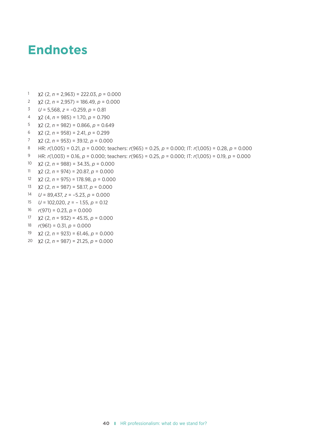### **Endnotes**

- 1  $\chi$ 2 (2, *n* = 2,963) = 222.03, *p* = 0.000
- 2  $\chi$ 2 (2, *n* = 2,957) = 186.49, *p* = 0.000
- *U* = 5,568, *z* = –0.259, *p* = 0.81
- χ2 (4, *n* = 985) = 1.70, *p* = 0.790
- 5  $\chi$ 2 (2, *n* = 982) = 0.866, *p* = 0.649
- χ2 (2, *n* = 958) = 2.41, *p* = 0.299
- χ2 (2, *n* = 953) = 39.12, *p* = 0.000
- HR: *r*(1,005) = 0.21, *p* = 0.000; teachers: *r*(965) = 0.25, *p* = 0.000; IT: *r*(1,005) = 0.28, *p* = 0.000
- HR: *r*(1,003) = 0.16, *p* = 0.000; teachers: *r*(965) = 0.25, *p* = 0.000; IT: *r*(1,005) = 0.19, *p* = 0.000
- χ2 (2, *n* = 988) = 34.35, *p* = 0.000
- χ2 (2, *n* = 974) = 20.87, *p* = 0.000
- χ2 (2, *n* = 975) = 178.98, *p* = 0.000
- χ2 (2, *n* = 987) = 58.17, *p* = 0.000
- *U* = 89,437, *z* = –5.23, *p* = 0.000
- *U* = 102,020, *z* = 1.55, *p* = 0.12
- 16  $r(971) = 0.23, p = 0.000$
- χ2 (2, *n* = 932) = 45.15, *p* = 0.000
- $r(961) = 0.31, p = 0.000$
- χ2 (2, *n* = 923) = 61.46, *p* = 0.000
- χ2 (2, *n* = 987) = 21.25, *p* = 0.000